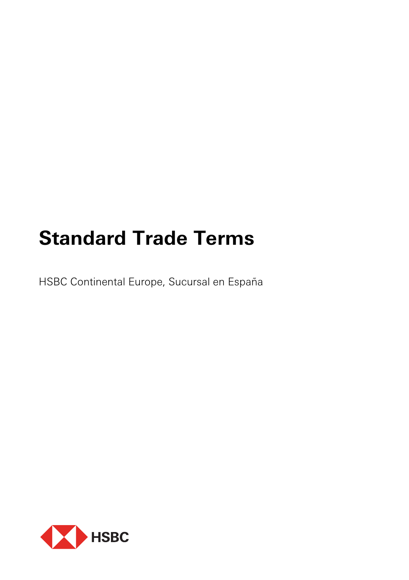# **Standard Trade Terms**

HSBC Continental Europe, Sucursal en España

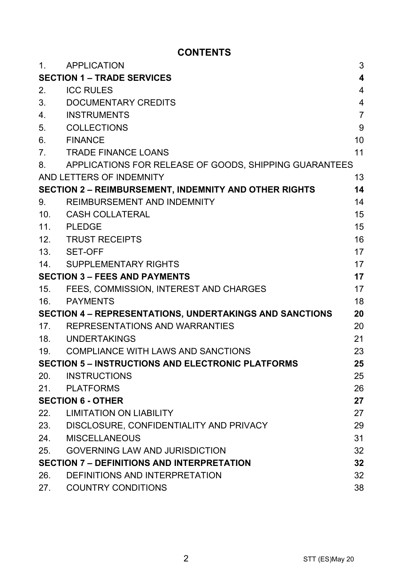# **CONTENTS**

| 1 <sub>1</sub>                       | APPLICATION                                                  | 3                       |
|--------------------------------------|--------------------------------------------------------------|-------------------------|
|                                      | <b>SECTION 1 – TRADE SERVICES</b>                            | $\overline{\mathbf{4}}$ |
| 2.                                   | <b>ICC RULES</b>                                             | $\overline{4}$          |
| 3.                                   | DOCUMENTARY CREDITS                                          | 4                       |
| 4.                                   | <b>INSTRUMENTS</b>                                           | $\overline{7}$          |
| 5.                                   | <b>COLLECTIONS</b>                                           | 9                       |
| 6.                                   | <b>FINANCE</b>                                               | 10                      |
| 7.                                   | <b>TRADE FINANCE LOANS</b>                                   | 11                      |
| 8.                                   | APPLICATIONS FOR RELEASE OF GOODS, SHIPPING GUARANTEES       |                         |
|                                      | AND LETTERS OF INDEMNITY                                     | 13                      |
|                                      | <b>SECTION 2 - REIMBURSEMENT, INDEMNITY AND OTHER RIGHTS</b> | 14                      |
| 9.                                   | REIMBURSEMENT AND INDEMNITY                                  | 14                      |
| 10.                                  | CASH COLLATERAL                                              | 15                      |
| 11.                                  | PLEDGE                                                       | 15                      |
|                                      | 12. TRUST RECEIPTS                                           | 16                      |
|                                      | 13. SET-OFF                                                  | 17                      |
| 14.                                  | SUPPLEMENTARY RIGHTS                                         | 17                      |
| <b>SECTION 3 – FEES AND PAYMENTS</b> |                                                              | 17                      |
| 15.                                  | FEES, COMMISSION, INTEREST AND CHARGES                       | 17                      |
|                                      | 16. PAYMENTS                                                 | 18                      |
|                                      | SECTION 4 - REPRESENTATIONS, UNDERTAKINGS AND SANCTIONS      | 20                      |
|                                      | 17. REPRESENTATIONS AND WARRANTIES                           | 20                      |
|                                      | 18. UNDERTAKINGS                                             | 21                      |
|                                      | 19. COMPLIANCE WITH LAWS AND SANCTIONS                       | 23                      |
|                                      | <b>SECTION 5 - INSTRUCTIONS AND ELECTRONIC PLATFORMS</b>     | 25                      |
| 20.                                  | <b>INSTRUCTIONS</b>                                          | 25                      |
|                                      | 21. PLATFORMS                                                | 26                      |
|                                      | <b>SECTION 6 - OTHER</b>                                     | 27                      |
|                                      | 22. LIMITATION ON LIABILITY                                  | 27                      |
|                                      | 23. DISCLOSURE, CONFIDENTIALITY AND PRIVACY                  | 29                      |
| 24.                                  | MISCELLANEOUS                                                | 31                      |
| 25.                                  | <b>GOVERNING LAW AND JURISDICTION</b>                        | 32                      |
|                                      | <b>SECTION 7 - DEFINITIONS AND INTERPRETATION</b>            | 32                      |
| 26.                                  | DEFINITIONS AND INTERPRETATION                               | 32                      |
| 27.                                  | <b>COUNTRY CONDITIONS</b>                                    | 38                      |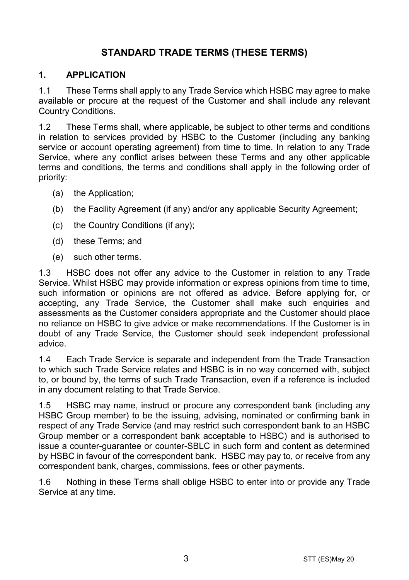# **STANDARD TRADE TERMS (THESE TERMS)**

#### **1. APPLICATION**

1.1 These Terms shall apply to any Trade Service which HSBC may agree to make available or procure at the request of the Customer and shall include any relevant Country Conditions.

1.2 These Terms shall, where applicable, be subject to other terms and conditions in relation to services provided by HSBC to the Customer (including any banking service or account operating agreement) from time to time. In relation to any Trade Service, where any conflict arises between these Terms and any other applicable terms and conditions, the terms and conditions shall apply in the following order of priority:

- (a) the Application;
- (b) the Facility Agreement (if any) and/or any applicable Security Agreement;
- (c) the Country Conditions (if any);
- (d) these Terms; and
- (e) such other terms.

1.3 HSBC does not offer any advice to the Customer in relation to any Trade Service. Whilst HSBC may provide information or express opinions from time to time, such information or opinions are not offered as advice. Before applying for, or accepting, any Trade Service, the Customer shall make such enquiries and assessments as the Customer considers appropriate and the Customer should place no reliance on HSBC to give advice or make recommendations. If the Customer is in doubt of any Trade Service, the Customer should seek independent professional advice.

1.4 Each Trade Service is separate and independent from the Trade Transaction to which such Trade Service relates and HSBC is in no way concerned with, subject to, or bound by, the terms of such Trade Transaction, even if a reference is included in any document relating to that Trade Service.

1.5 HSBC may name, instruct or procure any correspondent bank (including any HSBC Group member) to be the issuing, advising, nominated or confirming bank in respect of any Trade Service (and may restrict such correspondent bank to an HSBC Group member or a correspondent bank acceptable to HSBC) and is authorised to issue a counter-guarantee or counter-SBLC in such form and content as determined by HSBC in favour of the correspondent bank. HSBC may pay to, or receive from any correspondent bank, charges, commissions, fees or other payments.

1.6 Nothing in these Terms shall oblige HSBC to enter into or provide any Trade Service at any time.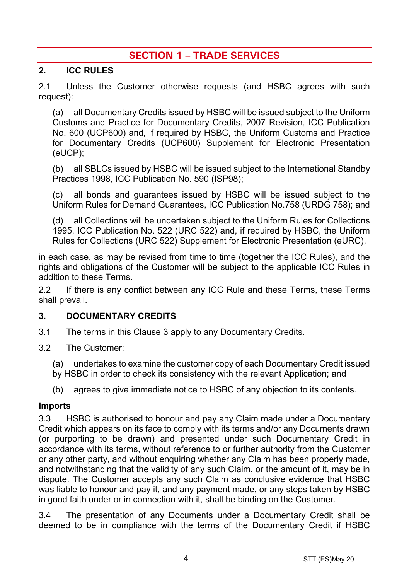# **SECTION 1 – TRADE SERVICES**

#### **2. ICC RULES**

2.1 Unless the Customer otherwise requests (and HSBC agrees with such request):

(a) all Documentary Credits issued by HSBC will be issued subject to the Uniform Customs and Practice for Documentary Credits, 2007 Revision, ICC Publication No. 600 (UCP600) and, if required by HSBC, the Uniform Customs and Practice for Documentary Credits (UCP600) Supplement for Electronic Presentation (eUCP);

(b) all SBLCs issued by HSBC will be issued subject to the International Standby Practices 1998, ICC Publication No. 590 (ISP98);

(c) all bonds and guarantees issued by HSBC will be issued subject to the Uniform Rules for Demand Guarantees, ICC Publication No.758 (URDG 758); and

(d) all Collections will be undertaken subject to the Uniform Rules for Collections 1995, ICC Publication No. 522 (URC 522) and, if required by HSBC, the Uniform Rules for Collections (URC 522) Supplement for Electronic Presentation (eURC),

in each case, as may be revised from time to time (together the ICC Rules), and the rights and obligations of the Customer will be subject to the applicable ICC Rules in addition to these Terms.

2.2 If there is any conflict between any ICC Rule and these Terms, these Terms shall prevail.

#### <span id="page-3-0"></span>**3. DOCUMENTARY CREDITS**

- 3.1 The terms in this Claus[e 3](#page-3-0) apply to any Documentary Credits.
- 3.2 The Customer:
	- (a) undertakes to examine the customer copy of each Documentary Credit issued
	- by HSBC in order to check its consistency with the relevant Application; and
	- (b) agrees to give immediate notice to HSBC of any objection to its contents.

#### **Imports**

3.3 HSBC is authorised to honour and pay any Claim made under a Documentary Credit which appears on its face to comply with its terms and/or any Documents drawn (or purporting to be drawn) and presented under such Documentary Credit in accordance with its terms, without reference to or further authority from the Customer or any other party, and without enquiring whether any Claim has been properly made, and notwithstanding that the validity of any such Claim, or the amount of it, may be in dispute. The Customer accepts any such Claim as conclusive evidence that HSBC was liable to honour and pay it, and any payment made, or any steps taken by HSBC in good faith under or in connection with it, shall be binding on the Customer.

3.4 The presentation of any Documents under a Documentary Credit shall be deemed to be in compliance with the terms of the Documentary Credit if HSBC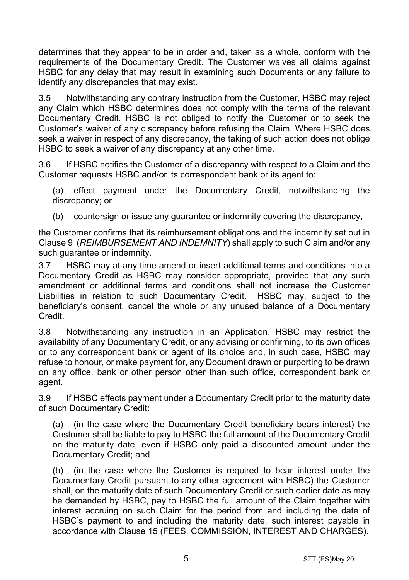determines that they appear to be in order and, taken as a whole, conform with the requirements of the Documentary Credit. The Customer waives all claims against HSBC for any delay that may result in examining such Documents or any failure to identify any discrepancies that may exist.

3.5 Notwithstanding any contrary instruction from the Customer, HSBC may reject any Claim which HSBC determines does not comply with the terms of the relevant Documentary Credit. HSBC is not obliged to notify the Customer or to seek the Customer's waiver of any discrepancy before refusing the Claim. Where HSBC does seek a waiver in respect of any discrepancy, the taking of such action does not oblige HSBC to seek a waiver of any discrepancy at any other time.

3.6 If HSBC notifies the Customer of a discrepancy with respect to a Claim and the Customer requests HSBC and/or its correspondent bank or its agent to:

(a) effect payment under the Documentary Credit, notwithstanding the discrepancy; or

(b) countersign or issue any guarantee or indemnity covering the discrepancy,

the Customer confirms that its reimbursement obligations and the indemnity set out in Claus[e 9](#page-13-0) (*[REIMBURSEMENT AND INDEMNITY](#page-13-0)*) shall apply to such Claim and/or any such guarantee or indemnity.

3.7 HSBC may at any time amend or insert additional terms and conditions into a Documentary Credit as HSBC may consider appropriate, provided that any such amendment or additional terms and conditions shall not increase the Customer Liabilities in relation to such Documentary Credit. HSBC may, subject to the beneficiary's consent, cancel the whole or any unused balance of a Documentary Credit.

3.8 Notwithstanding any instruction in an Application, HSBC may restrict the availability of any Documentary Credit, or any advising or confirming, to its own offices or to any correspondent bank or agent of its choice and, in such case, HSBC may refuse to honour, or make payment for, any Document drawn or purporting to be drawn on any office, bank or other person other than such office, correspondent bank or agent.

3.9 If HSBC effects payment under a Documentary Credit prior to the maturity date of such Documentary Credit:

(a) (in the case where the Documentary Credit beneficiary bears interest) the Customer shall be liable to pay to HSBC the full amount of the Documentary Credit on the maturity date, even if HSBC only paid a discounted amount under the Documentary Credit; and

(b) (in the case where the Customer is required to bear interest under the Documentary Credit pursuant to any other agreement with HSBC) the Customer shall, on the maturity date of such Documentary Credit or such earlier date as may be demanded by HSBC, pay to HSBC the full amount of the Claim together with interest accruing on such Claim for the period from and including the date of HSBC's payment to and including the maturity date, such interest payable in accordance with Clause [15](#page-16-0) [\(FEES, COMMISSION, INTEREST AND CHARGES\)](#page-16-0).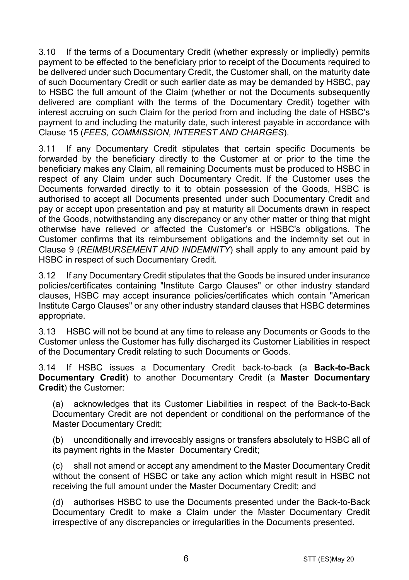3.10 If the terms of a Documentary Credit (whether expressly or impliedly) permits payment to be effected to the beneficiary prior to receipt of the Documents required to be delivered under such Documentary Credit, the Customer shall, on the maturity date of such Documentary Credit or such earlier date as may be demanded by HSBC, pay to HSBC the full amount of the Claim (whether or not the Documents subsequently delivered are compliant with the terms of the Documentary Credit) together with interest accruing on such Claim for the period from and including the date of HSBC's payment to and including the maturity date, such interest payable in accordance with Clause [15](#page-16-0) (*[FEES, COMMISSION, INTEREST AND CHARGES](#page-16-0)*).

3.11 If any Documentary Credit stipulates that certain specific Documents be forwarded by the beneficiary directly to the Customer at or prior to the time the beneficiary makes any Claim, all remaining Documents must be produced to HSBC in respect of any Claim under such Documentary Credit. If the Customer uses the Documents forwarded directly to it to obtain possession of the Goods, HSBC is authorised to accept all Documents presented under such Documentary Credit and pay or accept upon presentation and pay at maturity all Documents drawn in respect of the Goods, notwithstanding any discrepancy or any other matter or thing that might otherwise have relieved or affected the Customer's or HSBC's obligations. The Customer confirms that its reimbursement obligations and the indemnity set out in Clause [9](#page-13-0) (*[REIMBURSEMENT AND INDEMNITY](#page-13-0)*) shall apply to any amount paid by HSBC in respect of such Documentary Credit.

3.12 If any Documentary Credit stipulates that the Goods be insured under insurance policies/certificates containing "Institute Cargo Clauses" or other industry standard clauses, HSBC may accept insurance policies/certificates which contain "American Institute Cargo Clauses" or any other industry standard clauses that HSBC determines appropriate.

3.13 HSBC will not be bound at any time to release any Documents or Goods to the Customer unless the Customer has fully discharged its Customer Liabilities in respect of the Documentary Credit relating to such Documents or Goods.

<span id="page-5-0"></span>3.14 If HSBC issues a Documentary Credit back-to-back (a **Back-to-Back Documentary Credit**) to another Documentary Credit (a **Master Documentary Credit**) the Customer:

(a) acknowledges that its Customer Liabilities in respect of the Back-to-Back Documentary Credit are not dependent or conditional on the performance of the Master Documentary Credit;

(b) unconditionally and irrevocably assigns or transfers absolutely to HSBC all of its payment rights in the Master Documentary Credit;

(c) shall not amend or accept any amendment to the Master Documentary Credit without the consent of HSBC or take any action which might result in HSBC not receiving the full amount under the Master Documentary Credit; and

(d) authorises HSBC to use the Documents presented under the Back-to-Back Documentary Credit to make a Claim under the Master Documentary Credit irrespective of any discrepancies or irregularities in the Documents presented.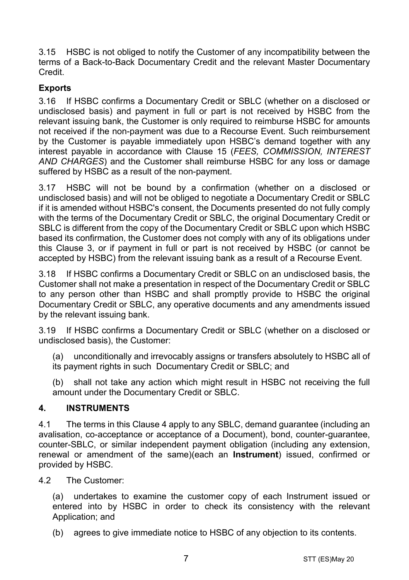3.15 HSBC is not obliged to notify the Customer of any incompatibility between the terms of a Back-to-Back Documentary Credit and the relevant Master Documentary Credit.

# **Exports**

3.16 If HSBC confirms a Documentary Credit or SBLC (whether on a disclosed or undisclosed basis) and payment in full or part is not received by HSBC from the relevant issuing bank, the Customer is only required to reimburse HSBC for amounts not received if the non-payment was due to a Recourse Event. Such reimbursement by the Customer is payable immediately upon HSBC's demand together with any interest payable in accordance with Clause [15](#page-16-0) (*[FEES, COMMISSION, INTEREST](#page-16-0)  [AND CHARGES](#page-16-0)*) and the Customer shall reimburse HSBC for any loss or damage suffered by HSBC as a result of the non-payment.

3.17 HSBC will not be bound by a confirmation (whether on a disclosed or undisclosed basis) and will not be obliged to negotiate a Documentary Credit or SBLC if it is amended without HSBC's consent, the Documents presented do not fully comply with the terms of the Documentary Credit or SBLC, the original Documentary Credit or SBLC is different from the copy of the Documentary Credit or SBLC upon which HSBC based its confirmation, the Customer does not comply with any of its obligations under this Clause [3,](#page-3-0) or if payment in full or part is not received by HSBC (or cannot be accepted by HSBC) from the relevant issuing bank as a result of a Recourse Event.

3.18 If HSBC confirms a Documentary Credit or SBLC on an undisclosed basis, the Customer shall not make a presentation in respect of the Documentary Credit or SBLC to any person other than HSBC and shall promptly provide to HSBC the original Documentary Credit or SBLC, any operative documents and any amendments issued by the relevant issuing bank.

3.19 If HSBC confirms a Documentary Credit or SBLC (whether on a disclosed or undisclosed basis), the Customer:

(a) unconditionally and irrevocably assigns or transfers absolutely to HSBC all of its payment rights in such Documentary Credit or SBLC; and

(b) shall not take any action which might result in HSBC not receiving the full amount under the Documentary Credit or SBLC.

## <span id="page-6-0"></span>**4. INSTRUMENTS**

4.1 The terms in this Clause [4](#page-6-0) apply to any SBLC, demand guarantee (including an avalisation, co-acceptance or acceptance of a Document), bond, counter-guarantee, counter-SBLC, or similar independent payment obligation (including any extension, renewal or amendment of the same)(each an **Instrument**) issued, confirmed or provided by HSBC.

4.2 The Customer:

(a) undertakes to examine the customer copy of each Instrument issued or entered into by HSBC in order to check its consistency with the relevant Application; and

(b) agrees to give immediate notice to HSBC of any objection to its contents.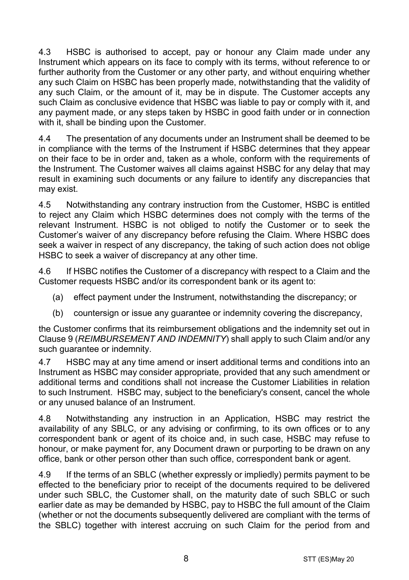4.3 HSBC is authorised to accept, pay or honour any Claim made under any Instrument which appears on its face to comply with its terms, without reference to or further authority from the Customer or any other party, and without enquiring whether any such Claim on HSBC has been properly made, notwithstanding that the validity of any such Claim, or the amount of it, may be in dispute. The Customer accepts any such Claim as conclusive evidence that HSBC was liable to pay or comply with it, and any payment made, or any steps taken by HSBC in good faith under or in connection with it, shall be binding upon the Customer.

4.4 The presentation of any documents under an Instrument shall be deemed to be in compliance with the terms of the Instrument if HSBC determines that they appear on their face to be in order and, taken as a whole, conform with the requirements of the Instrument. The Customer waives all claims against HSBC for any delay that may result in examining such documents or any failure to identify any discrepancies that may exist.

4.5 Notwithstanding any contrary instruction from the Customer, HSBC is entitled to reject any Claim which HSBC determines does not comply with the terms of the relevant Instrument. HSBC is not obliged to notify the Customer or to seek the Customer's waiver of any discrepancy before refusing the Claim. Where HSBC does seek a waiver in respect of any discrepancy, the taking of such action does not oblige HSBC to seek a waiver of discrepancy at any other time.

4.6 If HSBC notifies the Customer of a discrepancy with respect to a Claim and the Customer requests HSBC and/or its correspondent bank or its agent to:

- (a) effect payment under the Instrument, notwithstanding the discrepancy; or
- (b) countersign or issue any guarantee or indemnity covering the discrepancy,

the Customer confirms that its reimbursement obligations and the indemnity set out in Clause [9](#page-13-0) (*[REIMBURSEMENT AND INDEMNITY](#page-13-0)*) shall apply to such Claim and/or any such guarantee or indemnity.

4.7 HSBC may at any time amend or insert additional terms and conditions into an Instrument as HSBC may consider appropriate, provided that any such amendment or additional terms and conditions shall not increase the Customer Liabilities in relation to such Instrument. HSBC may, subject to the beneficiary's consent, cancel the whole or any unused balance of an Instrument.

4.8 Notwithstanding any instruction in an Application, HSBC may restrict the availability of any SBLC, or any advising or confirming, to its own offices or to any correspondent bank or agent of its choice and, in such case, HSBC may refuse to honour, or make payment for, any Document drawn or purporting to be drawn on any office, bank or other person other than such office, correspondent bank or agent.

4.9 If the terms of an SBLC (whether expressly or impliedly) permits payment to be effected to the beneficiary prior to receipt of the documents required to be delivered under such SBLC, the Customer shall, on the maturity date of such SBLC or such earlier date as may be demanded by HSBC, pay to HSBC the full amount of the Claim (whether or not the documents subsequently delivered are compliant with the terms of the SBLC) together with interest accruing on such Claim for the period from and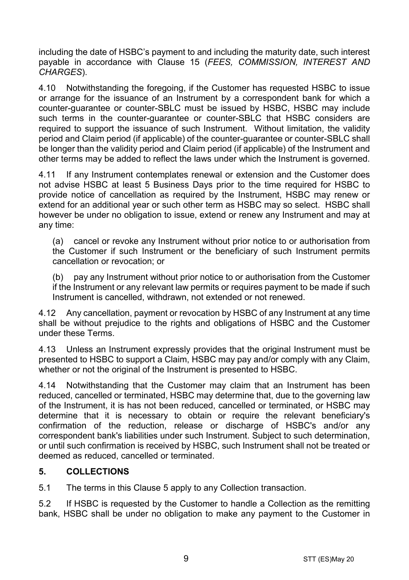including the date of HSBC's payment to and including the maturity date, such interest payable in accordance with Clause [15](#page-16-0) (*[FEES, COMMISSION, INTEREST AND](#page-16-0)  [CHARGES](#page-16-0)*).

4.10 Notwithstanding the foregoing, if the Customer has requested HSBC to issue or arrange for the issuance of an Instrument by a correspondent bank for which a counter-guarantee or counter-SBLC must be issued by HSBC, HSBC may include such terms in the counter-guarantee or counter-SBLC that HSBC considers are required to support the issuance of such Instrument. Without limitation, the validity period and Claim period (if applicable) of the counter-guarantee or counter-SBLC shall be longer than the validity period and Claim period (if applicable) of the Instrument and other terms may be added to reflect the laws under which the Instrument is governed.

4.11 If any Instrument contemplates renewal or extension and the Customer does not advise HSBC at least 5 Business Days prior to the time required for HSBC to provide notice of cancellation as required by the Instrument, HSBC may renew or extend for an additional year or such other term as HSBC may so select. HSBC shall however be under no obligation to issue, extend or renew any Instrument and may at any time:

(a) cancel or revoke any Instrument without prior notice to or authorisation from the Customer if such Instrument or the beneficiary of such Instrument permits cancellation or revocation; or

(b) pay any Instrument without prior notice to or authorisation from the Customer if the Instrument or any relevant law permits or requires payment to be made if such Instrument is cancelled, withdrawn, not extended or not renewed.

4.12 Any cancellation, payment or revocation by HSBC of any Instrument at any time shall be without prejudice to the rights and obligations of HSBC and the Customer under these Terms.

4.13 Unless an Instrument expressly provides that the original Instrument must be presented to HSBC to support a Claim, HSBC may pay and/or comply with any Claim, whether or not the original of the Instrument is presented to HSBC.

4.14 Notwithstanding that the Customer may claim that an Instrument has been reduced, cancelled or terminated, HSBC may determine that, due to the governing law of the Instrument, it is has not been reduced, cancelled or terminated, or HSBC may determine that it is necessary to obtain or require the relevant beneficiary's confirmation of the reduction, release or discharge of HSBC's and/or any correspondent bank's liabilities under such Instrument. Subject to such determination, or until such confirmation is received by HSBC, such Instrument shall not be treated or deemed as reduced, cancelled or terminated.

## <span id="page-8-0"></span>**5. COLLECTIONS**

5.1 The terms in this Claus[e 5](#page-8-0) apply to any Collection transaction.

5.2 If HSBC is requested by the Customer to handle a Collection as the remitting bank, HSBC shall be under no obligation to make any payment to the Customer in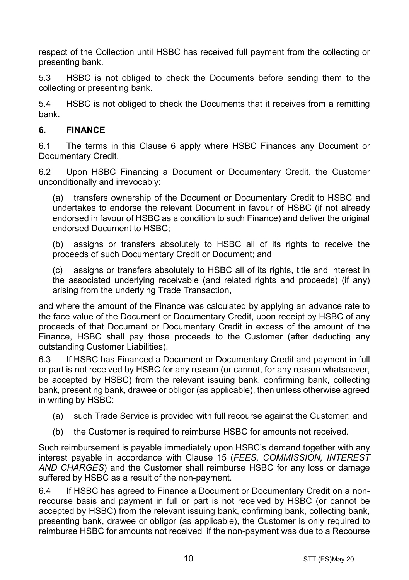respect of the Collection until HSBC has received full payment from the collecting or presenting bank.

5.3 HSBC is not obliged to check the Documents before sending them to the collecting or presenting bank.

5.4 HSBC is not obliged to check the Documents that it receives from a remitting bank.

# <span id="page-9-0"></span>**6. FINANCE**

6.1 The terms in this Clause [6](#page-9-0) apply where HSBC Finances any Document or Documentary Credit.

6.2 Upon HSBC Financing a Document or Documentary Credit, the Customer unconditionally and irrevocably:

(a) transfers ownership of the Document or Documentary Credit to HSBC and undertakes to endorse the relevant Document in favour of HSBC (if not already endorsed in favour of HSBC as a condition to such Finance) and deliver the original endorsed Document to HSBC;

(b) assigns or transfers absolutely to HSBC all of its rights to receive the proceeds of such Documentary Credit or Document; and

(c) assigns or transfers absolutely to HSBC all of its rights, title and interest in the associated underlying receivable (and related rights and proceeds) (if any) arising from the underlying Trade Transaction,

and where the amount of the Finance was calculated by applying an advance rate to the face value of the Document or Documentary Credit, upon receipt by HSBC of any proceeds of that Document or Documentary Credit in excess of the amount of the Finance, HSBC shall pay those proceeds to the Customer (after deducting any outstanding Customer Liabilities).

6.3 If HSBC has Financed a Document or Documentary Credit and payment in full or part is not received by HSBC for any reason (or cannot, for any reason whatsoever, be accepted by HSBC) from the relevant issuing bank, confirming bank, collecting bank, presenting bank, drawee or obligor (as applicable), then unless otherwise agreed in writing by HSBC:

- (a) such Trade Service is provided with full recourse against the Customer; and
- (b) the Customer is required to reimburse HSBC for amounts not received.

Such reimbursement is payable immediately upon HSBC's demand together with any interest payable in accordance with Clause [15](#page-16-0) (*[FEES, COMMISSION, INTEREST](#page-16-0)  [AND CHARGES](#page-16-0)*) and the Customer shall reimburse HSBC for any loss or damage suffered by HSBC as a result of the non-payment.

6.4 If HSBC has agreed to Finance a Document or Documentary Credit on a nonrecourse basis and payment in full or part is not received by HSBC (or cannot be accepted by HSBC) from the relevant issuing bank, confirming bank, collecting bank, presenting bank, drawee or obligor (as applicable), the Customer is only required to reimburse HSBC for amounts not received if the non-payment was due to a Recourse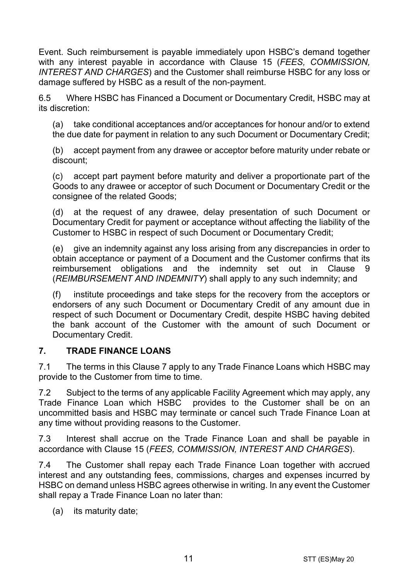Event. Such reimbursement is payable immediately upon HSBC's demand together with any interest payable in accordance with Clause [15](#page-16-0) (*[FEES, COMMISSION,](#page-16-0)  [INTEREST AND CHARGES](#page-16-0)*) and the Customer shall reimburse HSBC for any loss or damage suffered by HSBC as a result of the non-payment.

6.5 Where HSBC has Financed a Document or Documentary Credit, HSBC may at its discretion:

(a) take conditional acceptances and/or acceptances for honour and/or to extend the due date for payment in relation to any such Document or Documentary Credit;

(b) accept payment from any drawee or acceptor before maturity under rebate or discount;

(c) accept part payment before maturity and deliver a proportionate part of the Goods to any drawee or acceptor of such Document or Documentary Credit or the consignee of the related Goods;

(d) at the request of any drawee, delay presentation of such Document or Documentary Credit for payment or acceptance without affecting the liability of the Customer to HSBC in respect of such Document or Documentary Credit;

(e) give an indemnity against any loss arising from any discrepancies in order to obtain acceptance or payment of a Document and the Customer confirms that its reimbursement obligations and the indemnity set out in Clause [9](#page-13-0) (*[REIMBURSEMENT AND INDEMNITY](#page-13-0)*) shall apply to any such indemnity; and

(f) institute proceedings and take steps for the recovery from the acceptors or endorsers of any such Document or Documentary Credit of any amount due in respect of such Document or Documentary Credit, despite HSBC having debited the bank account of the Customer with the amount of such Document or Documentary Credit.

## <span id="page-10-0"></span>**7. TRADE FINANCE LOANS**

7.1 The terms in this Clause [7](#page-10-0) apply to any Trade Finance Loans which HSBC may provide to the Customer from time to time.

7.2 Subject to the terms of any applicable Facility Agreement which may apply, any Trade Finance Loan which HSBC provides to the Customer shall be on an uncommitted basis and HSBC may terminate or cancel such Trade Finance Loan at any time without providing reasons to the Customer.

7.3 Interest shall accrue on the Trade Finance Loan and shall be payable in accordance with Clause [15](#page-16-0) (*[FEES, COMMISSION, INTEREST AND CHARGES](#page-16-0)*).

7.4 The Customer shall repay each Trade Finance Loan together with accrued interest and any outstanding fees, commissions, charges and expenses incurred by HSBC on demand unless HSBC agrees otherwise in writing. In any event the Customer shall repay a Trade Finance Loan no later than:

(a) its maturity date;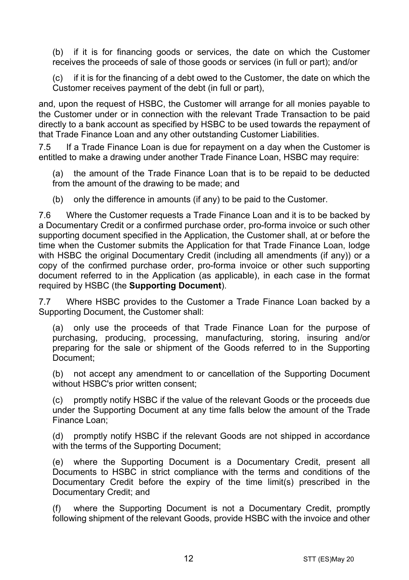(b) if it is for financing goods or services, the date on which the Customer receives the proceeds of sale of those goods or services (in full or part); and/or

(c) if it is for the financing of a debt owed to the Customer, the date on which the Customer receives payment of the debt (in full or part),

and, upon the request of HSBC, the Customer will arrange for all monies payable to the Customer under or in connection with the relevant Trade Transaction to be paid directly to a bank account as specified by HSBC to be used towards the repayment of that Trade Finance Loan and any other outstanding Customer Liabilities.

7.5 If a Trade Finance Loan is due for repayment on a day when the Customer is entitled to make a drawing under another Trade Finance Loan, HSBC may require:

(a) the amount of the Trade Finance Loan that is to be repaid to be deducted from the amount of the drawing to be made; and

(b) only the difference in amounts (if any) to be paid to the Customer.

7.6 Where the Customer requests a Trade Finance Loan and it is to be backed by a Documentary Credit or a confirmed purchase order, pro-forma invoice or such other supporting document specified in the Application, the Customer shall, at or before the time when the Customer submits the Application for that Trade Finance Loan, lodge with HSBC the original Documentary Credit (including all amendments (if any)) or a copy of the confirmed purchase order, pro-forma invoice or other such supporting document referred to in the Application (as applicable), in each case in the format required by HSBC (the **Supporting Document**).

7.7 Where HSBC provides to the Customer a Trade Finance Loan backed by a Supporting Document, the Customer shall:

(a) only use the proceeds of that Trade Finance Loan for the purpose of purchasing, producing, processing, manufacturing, storing, insuring and/or preparing for the sale or shipment of the Goods referred to in the Supporting Document;

(b) not accept any amendment to or cancellation of the Supporting Document without HSBC's prior written consent;

(c) promptly notify HSBC if the value of the relevant Goods or the proceeds due under the Supporting Document at any time falls below the amount of the Trade Finance Loan;

(d) promptly notify HSBC if the relevant Goods are not shipped in accordance with the terms of the Supporting Document;

(e) where the Supporting Document is a Documentary Credit, present all Documents to HSBC in strict compliance with the terms and conditions of the Documentary Credit before the expiry of the time limit(s) prescribed in the Documentary Credit; and

(f) where the Supporting Document is not a Documentary Credit, promptly following shipment of the relevant Goods, provide HSBC with the invoice and other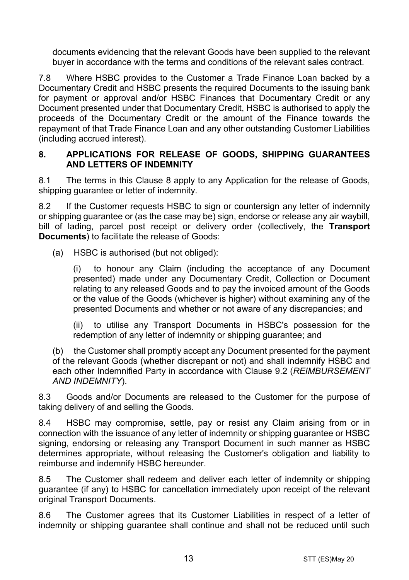documents evidencing that the relevant Goods have been supplied to the relevant buyer in accordance with the terms and conditions of the relevant sales contract.

7.8 Where HSBC provides to the Customer a Trade Finance Loan backed by a Documentary Credit and HSBC presents the required Documents to the issuing bank for payment or approval and/or HSBC Finances that Documentary Credit or any Document presented under that Documentary Credit, HSBC is authorised to apply the proceeds of the Documentary Credit or the amount of the Finance towards the repayment of that Trade Finance Loan and any other outstanding Customer Liabilities (including accrued interest).

#### <span id="page-12-0"></span>**8. APPLICATIONS FOR RELEASE OF GOODS, SHIPPING GUARANTEES AND LETTERS OF INDEMNITY**

8.1 The terms in this Clause [8](#page-12-0) apply to any Application for the release of Goods, shipping quarantee or letter of indemnity.

8.2 If the Customer requests HSBC to sign or countersign any letter of indemnity or shipping guarantee or (as the case may be) sign, endorse or release any air waybill, bill of lading, parcel post receipt or delivery order (collectively, the **Transport Documents**) to facilitate the release of Goods:

(a) HSBC is authorised (but not obliged):

(i) to honour any Claim (including the acceptance of any Document presented) made under any Documentary Credit, Collection or Document relating to any released Goods and to pay the invoiced amount of the Goods or the value of the Goods (whichever is higher) without examining any of the presented Documents and whether or not aware of any discrepancies; and

(ii) to utilise any Transport Documents in HSBC's possession for the redemption of any letter of indemnity or shipping guarantee; and

(b) the Customer shall promptly accept any Document presented for the payment of the relevant Goods (whether discrepant or not) and shall indemnify HSBC and each other Indemnified Party in accordance with Clause [9.2](#page-13-1) (*[REIMBURSEMENT](#page-13-0)  [AND INDEMNITY](#page-13-0)*).

8.3 Goods and/or Documents are released to the Customer for the purpose of taking delivery of and selling the Goods.

8.4 HSBC may compromise, settle, pay or resist any Claim arising from or in connection with the issuance of any letter of indemnity or shipping guarantee or HSBC signing, endorsing or releasing any Transport Document in such manner as HSBC determines appropriate, without releasing the Customer's obligation and liability to reimburse and indemnify HSBC hereunder.

8.5 The Customer shall redeem and deliver each letter of indemnity or shipping guarantee (if any) to HSBC for cancellation immediately upon receipt of the relevant original Transport Documents.

8.6 The Customer agrees that its Customer Liabilities in respect of a letter of indemnity or shipping guarantee shall continue and shall not be reduced until such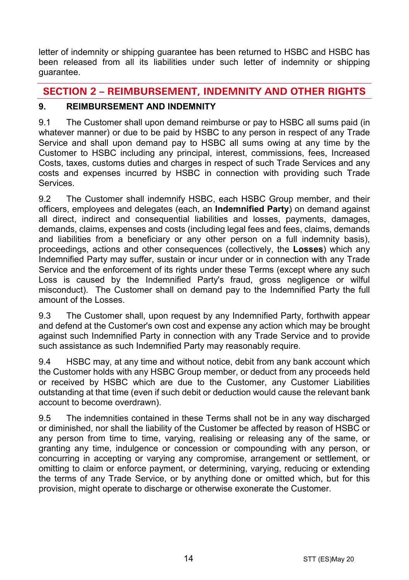letter of indemnity or shipping guarantee has been returned to HSBC and HSBC has been released from all its liabilities under such letter of indemnity or shipping guarantee.

# **SECTION 2 – REIMBURSEMENT, INDEMNITY AND OTHER RIGHTS**

# <span id="page-13-0"></span>**9. REIMBURSEMENT AND INDEMNITY**

9.1 The Customer shall upon demand reimburse or pay to HSBC all sums paid (in whatever manner) or due to be paid by HSBC to any person in respect of any Trade Service and shall upon demand pay to HSBC all sums owing at any time by the Customer to HSBC including any principal, interest, commissions, fees, Increased Costs, taxes, customs duties and charges in respect of such Trade Services and any costs and expenses incurred by HSBC in connection with providing such Trade **Services** 

<span id="page-13-1"></span>9.2 The Customer shall indemnify HSBC, each HSBC Group member, and their officers, employees and delegates (each, an **Indemnified Party**) on demand against all direct, indirect and consequential liabilities and losses, payments, damages, demands, claims, expenses and costs (including legal fees and fees, claims, demands and liabilities from a beneficiary or any other person on a full indemnity basis), proceedings, actions and other consequences (collectively, the **Losses**) which any Indemnified Party may suffer, sustain or incur under or in connection with any Trade Service and the enforcement of its rights under these Terms (except where any such Loss is caused by the Indemnified Party's fraud, gross negligence or wilful misconduct). The Customer shall on demand pay to the Indemnified Party the full amount of the Losses.

9.3 The Customer shall, upon request by any Indemnified Party, forthwith appear and defend at the Customer's own cost and expense any action which may be brought against such Indemnified Party in connection with any Trade Service and to provide such assistance as such Indemnified Party may reasonably require.

9.4 HSBC may, at any time and without notice, debit from any bank account which the Customer holds with any HSBC Group member, or deduct from any proceeds held or received by HSBC which are due to the Customer, any Customer Liabilities outstanding at that time (even if such debit or deduction would cause the relevant bank account to become overdrawn).

9.5 The indemnities contained in these Terms shall not be in any way discharged or diminished, nor shall the liability of the Customer be affected by reason of HSBC or any person from time to time, varying, realising or releasing any of the same, or granting any time, indulgence or concession or compounding with any person, or concurring in accepting or varying any compromise, arrangement or settlement, or omitting to claim or enforce payment, or determining, varying, reducing or extending the terms of any Trade Service, or by anything done or omitted which, but for this provision, might operate to discharge or otherwise exonerate the Customer.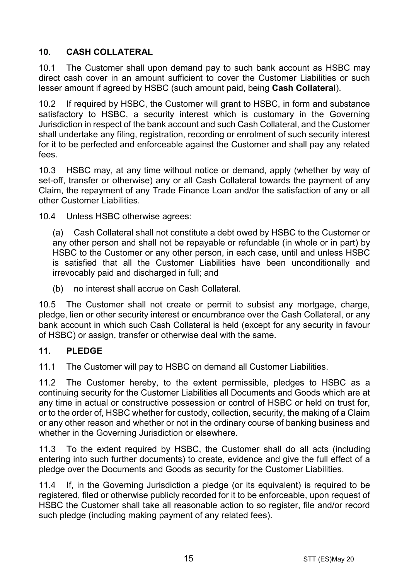# <span id="page-14-1"></span>**10. CASH COLLATERAL**

10.1 The Customer shall upon demand pay to such bank account as HSBC may direct cash cover in an amount sufficient to cover the Customer Liabilities or such lesser amount if agreed by HSBC (such amount paid, being **Cash Collateral**).

10.2 If required by HSBC, the Customer will grant to HSBC, in form and substance satisfactory to HSBC, a security interest which is customary in the Governing Jurisdiction in respect of the bank account and such Cash Collateral, and the Customer shall undertake any filing, registration, recording or enrolment of such security interest for it to be perfected and enforceable against the Customer and shall pay any related fees.

10.3 HSBC may, at any time without notice or demand, apply (whether by way of set-off, transfer or otherwise) any or all Cash Collateral towards the payment of any Claim, the repayment of any Trade Finance Loan and/or the satisfaction of any or all other Customer Liabilities.

10.4 Unless HSBC otherwise agrees:

(a) Cash Collateral shall not constitute a debt owed by HSBC to the Customer or any other person and shall not be repayable or refundable (in whole or in part) by HSBC to the Customer or any other person, in each case, until and unless HSBC is satisfied that all the Customer Liabilities have been unconditionally and irrevocably paid and discharged in full; and

(b) no interest shall accrue on Cash Collateral.

10.5 The Customer shall not create or permit to subsist any mortgage, charge, pledge, lien or other security interest or encumbrance over the Cash Collateral, or any bank account in which such Cash Collateral is held (except for any security in favour of HSBC) or assign, transfer or otherwise deal with the same.

## <span id="page-14-0"></span>**11. PLEDGE**

11.1 The Customer will pay to HSBC on demand all Customer Liabilities.

11.2 The Customer hereby, to the extent permissible, pledges to HSBC as a continuing security for the Customer Liabilities all Documents and Goods which are at any time in actual or constructive possession or control of HSBC or held on trust for, or to the order of, HSBC whether for custody, collection, security, the making of a Claim or any other reason and whether or not in the ordinary course of banking business and whether in the Governing Jurisdiction or elsewhere.

11.3 To the extent required by HSBC, the Customer shall do all acts (including entering into such further documents) to create, evidence and give the full effect of a pledge over the Documents and Goods as security for the Customer Liabilities.

11.4 If, in the Governing Jurisdiction a pledge (or its equivalent) is required to be registered, filed or otherwise publicly recorded for it to be enforceable, upon request of HSBC the Customer shall take all reasonable action to so register, file and/or record such pledge (including making payment of any related fees).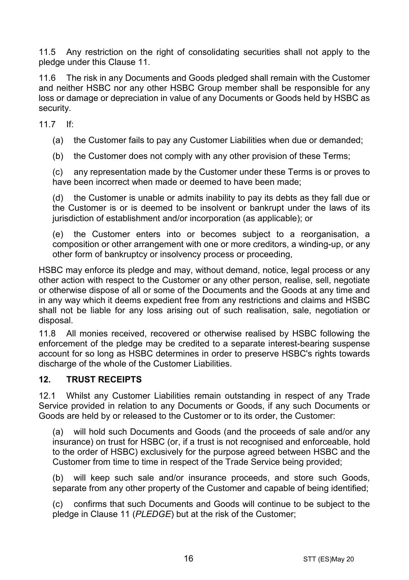11.5 Any restriction on the right of consolidating securities shall not apply to the pledge under this Clause [11.](#page-14-0)

11.6 The risk in any Documents and Goods pledged shall remain with the Customer and neither HSBC nor any other HSBC Group member shall be responsible for any loss or damage or depreciation in value of any Documents or Goods held by HSBC as security.

11.7 If:

(a) the Customer fails to pay any Customer Liabilities when due or demanded;

(b) the Customer does not comply with any other provision of these Terms;

(c) any representation made by the Customer under these Terms is or proves to have been incorrect when made or deemed to have been made;

(d) the Customer is unable or admits inability to pay its debts as they fall due or the Customer is or is deemed to be insolvent or bankrupt under the laws of its jurisdiction of establishment and/or incorporation (as applicable); or

(e) the Customer enters into or becomes subject to a reorganisation, a composition or other arrangement with one or more creditors, a winding-up, or any other form of bankruptcy or insolvency process or proceeding,

HSBC may enforce its pledge and may, without demand, notice, legal process or any other action with respect to the Customer or any other person, realise, sell, negotiate or otherwise dispose of all or some of the Documents and the Goods at any time and in any way which it deems expedient free from any restrictions and claims and HSBC shall not be liable for any loss arising out of such realisation, sale, negotiation or disposal.

11.8 All monies received, recovered or otherwise realised by HSBC following the enforcement of the pledge may be credited to a separate interest-bearing suspense account for so long as HSBC determines in order to preserve HSBC's rights towards discharge of the whole of the Customer Liabilities.

## **12. TRUST RECEIPTS**

12.1 Whilst any Customer Liabilities remain outstanding in respect of any Trade Service provided in relation to any Documents or Goods, if any such Documents or Goods are held by or released to the Customer or to its order, the Customer:

(a) will hold such Documents and Goods (and the proceeds of sale and/or any insurance) on trust for HSBC (or, if a trust is not recognised and enforceable, hold to the order of HSBC) exclusively for the purpose agreed between HSBC and the Customer from time to time in respect of the Trade Service being provided;

(b) will keep such sale and/or insurance proceeds, and store such Goods, separate from any other property of the Customer and capable of being identified;

(c) confirms that such Documents and Goods will continue to be subject to the pledge in Claus[e 11](#page-14-0) (*[PLEDGE](#page-14-0)*) but at the risk of the Customer;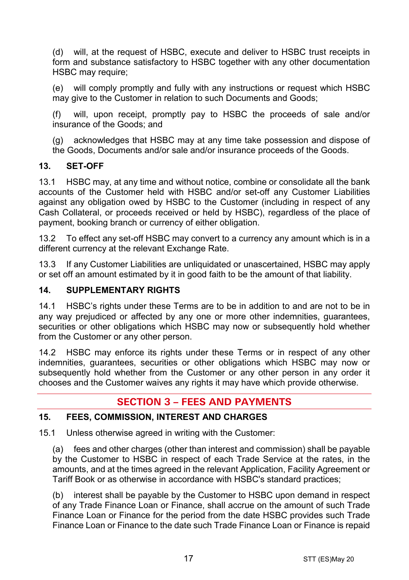(d) will, at the request of HSBC, execute and deliver to HSBC trust receipts in form and substance satisfactory to HSBC together with any other documentation HSBC may require:

(e) will comply promptly and fully with any instructions or request which HSBC may give to the Customer in relation to such Documents and Goods;

(f) will, upon receipt, promptly pay to HSBC the proceeds of sale and/or insurance of the Goods; and

(g) acknowledges that HSBC may at any time take possession and dispose of the Goods, Documents and/or sale and/or insurance proceeds of the Goods.

# **13. SET-OFF**

13.1 HSBC may, at any time and without notice, combine or consolidate all the bank accounts of the Customer held with HSBC and/or set-off any Customer Liabilities against any obligation owed by HSBC to the Customer (including in respect of any Cash Collateral, or proceeds received or held by HSBC), regardless of the place of payment, booking branch or currency of either obligation.

13.2 To effect any set-off HSBC may convert to a currency any amount which is in a different currency at the relevant Exchange Rate.

13.3 If any Customer Liabilities are unliquidated or unascertained, HSBC may apply or set off an amount estimated by it in good faith to be the amount of that liability.

## **14. SUPPLEMENTARY RIGHTS**

14.1 HSBC's rights under these Terms are to be in addition to and are not to be in any way prejudiced or affected by any one or more other indemnities, guarantees, securities or other obligations which HSBC may now or subsequently hold whether from the Customer or any other person.

14.2 HSBC may enforce its rights under these Terms or in respect of any other indemnities, guarantees, securities or other obligations which HSBC may now or subsequently hold whether from the Customer or any other person in any order it chooses and the Customer waives any rights it may have which provide otherwise.

# **SECTION 3 – FEES AND PAYMENTS**

## <span id="page-16-0"></span>**15. FEES, COMMISSION, INTEREST AND CHARGES**

15.1 Unless otherwise agreed in writing with the Customer:

(a) fees and other charges (other than interest and commission) shall be payable by the Customer to HSBC in respect of each Trade Service at the rates, in the amounts, and at the times agreed in the relevant Application, Facility Agreement or Tariff Book or as otherwise in accordance with HSBC's standard practices;

(b) interest shall be payable by the Customer to HSBC upon demand in respect of any Trade Finance Loan or Finance, shall accrue on the amount of such Trade Finance Loan or Finance for the period from the date HSBC provides such Trade Finance Loan or Finance to the date such Trade Finance Loan or Finance is repaid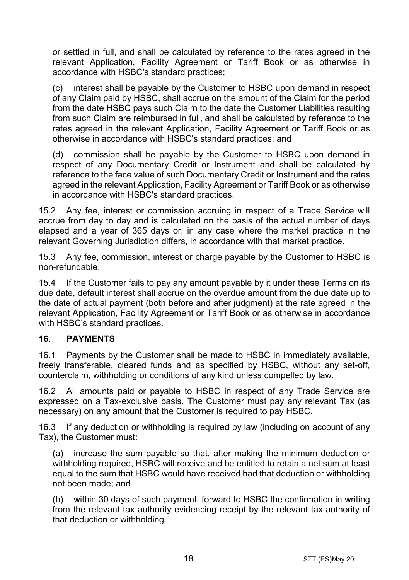or settled in full, and shall be calculated by reference to the rates agreed in the relevant Application, Facility Agreement or Tariff Book or as otherwise in accordance with HSBC's standard practices;

(c) interest shall be payable by the Customer to HSBC upon demand in respect of any Claim paid by HSBC, shall accrue on the amount of the Claim for the period from the date HSBC pays such Claim to the date the Customer Liabilities resulting from such Claim are reimbursed in full, and shall be calculated by reference to the rates agreed in the relevant Application, Facility Agreement or Tariff Book or as otherwise in accordance with HSBC's standard practices; and

(d) commission shall be payable by the Customer to HSBC upon demand in respect of any Documentary Credit or Instrument and shall be calculated by reference to the face value of such Documentary Credit or Instrument and the rates agreed in the relevant Application, Facility Agreement or Tariff Book or as otherwise in accordance with HSBC's standard practices.

15.2 Any fee, interest or commission accruing in respect of a Trade Service will accrue from day to day and is calculated on the basis of the actual number of days elapsed and a year of 365 days or, in any case where the market practice in the relevant Governing Jurisdiction differs, in accordance with that market practice.

15.3 Any fee, commission, interest or charge payable by the Customer to HSBC is non-refundable.

15.4 If the Customer fails to pay any amount payable by it under these Terms on its due date, default interest shall accrue on the overdue amount from the due date up to the date of actual payment (both before and after judgment) at the rate agreed in the relevant Application, Facility Agreement or Tariff Book or as otherwise in accordance with HSBC's standard practices.

## **16. PAYMENTS**

16.1 Payments by the Customer shall be made to HSBC in immediately available, freely transferable, cleared funds and as specified by HSBC, without any set-off, counterclaim, withholding or conditions of any kind unless compelled by law.

16.2 All amounts paid or payable to HSBC in respect of any Trade Service are expressed on a Tax-exclusive basis. The Customer must pay any relevant Tax (as necessary) on any amount that the Customer is required to pay HSBC.

16.3 If any deduction or withholding is required by law (including on account of any Tax), the Customer must:

(a) increase the sum payable so that, after making the minimum deduction or withholding required, HSBC will receive and be entitled to retain a net sum at least equal to the sum that HSBC would have received had that deduction or withholding not been made; and

(b) within 30 days of such payment, forward to HSBC the confirmation in writing from the relevant tax authority evidencing receipt by the relevant tax authority of that deduction or withholding.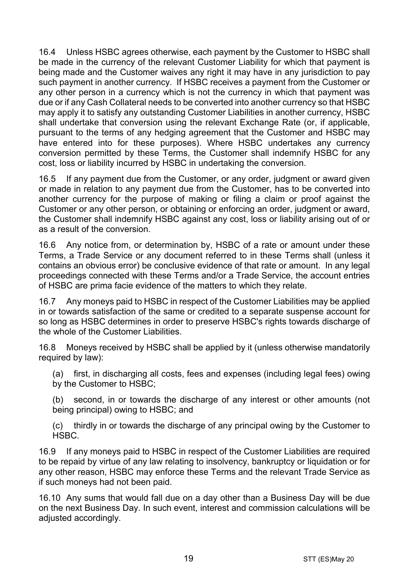16.4 Unless HSBC agrees otherwise, each payment by the Customer to HSBC shall be made in the currency of the relevant Customer Liability for which that payment is being made and the Customer waives any right it may have in any jurisdiction to pay such payment in another currency. If HSBC receives a payment from the Customer or any other person in a currency which is not the currency in which that payment was due or if any Cash Collateral needs to be converted into another currency so that HSBC may apply it to satisfy any outstanding Customer Liabilities in another currency, HSBC shall undertake that conversion using the relevant Exchange Rate (or, if applicable, pursuant to the terms of any hedging agreement that the Customer and HSBC may have entered into for these purposes). Where HSBC undertakes any currency conversion permitted by these Terms, the Customer shall indemnify HSBC for any cost, loss or liability incurred by HSBC in undertaking the conversion.

16.5 If any payment due from the Customer, or any order, judgment or award given or made in relation to any payment due from the Customer, has to be converted into another currency for the purpose of making or filing a claim or proof against the Customer or any other person, or obtaining or enforcing an order, judgment or award, the Customer shall indemnify HSBC against any cost, loss or liability arising out of or as a result of the conversion.

16.6 Any notice from, or determination by, HSBC of a rate or amount under these Terms, a Trade Service or any document referred to in these Terms shall (unless it contains an obvious error) be conclusive evidence of that rate or amount. In any legal proceedings connected with these Terms and/or a Trade Service, the account entries of HSBC are prima facie evidence of the matters to which they relate.

16.7 Any moneys paid to HSBC in respect of the Customer Liabilities may be applied in or towards satisfaction of the same or credited to a separate suspense account for so long as HSBC determines in order to preserve HSBC's rights towards discharge of the whole of the Customer Liabilities.

16.8 Moneys received by HSBC shall be applied by it (unless otherwise mandatorily required by law):

(a) first, in discharging all costs, fees and expenses (including legal fees) owing by the Customer to HSBC;

(b) second, in or towards the discharge of any interest or other amounts (not being principal) owing to HSBC; and

(c) thirdly in or towards the discharge of any principal owing by the Customer to HSBC.

16.9 If any moneys paid to HSBC in respect of the Customer Liabilities are required to be repaid by virtue of any law relating to insolvency, bankruptcy or liquidation or for any other reason, HSBC may enforce these Terms and the relevant Trade Service as if such moneys had not been paid.

16.10 Any sums that would fall due on a day other than a Business Day will be due on the next Business Day. In such event, interest and commission calculations will be adjusted accordingly.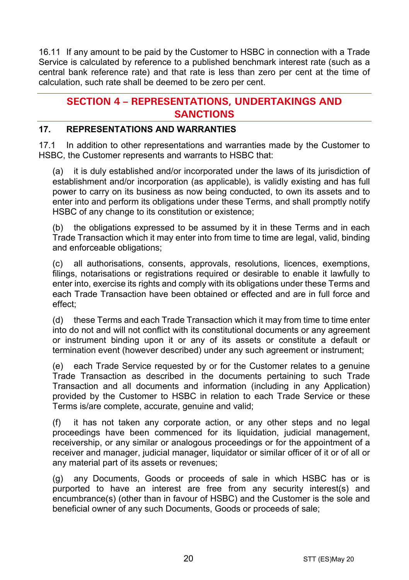16.11 If any amount to be paid by the Customer to HSBC in connection with a Trade Service is calculated by reference to a published benchmark interest rate (such as a central bank reference rate) and that rate is less than zero per cent at the time of calculation, such rate shall be deemed to be zero per cent.

# **SECTION 4 – REPRESENTATIONS, UNDERTAKINGS AND SANCTIONS**

## **17. REPRESENTATIONS AND WARRANTIES**

17.1 In addition to other representations and warranties made by the Customer to HSBC, the Customer represents and warrants to HSBC that:

(a) it is duly established and/or incorporated under the laws of its jurisdiction of establishment and/or incorporation (as applicable), is validly existing and has full power to carry on its business as now being conducted, to own its assets and to enter into and perform its obligations under these Terms, and shall promptly notify HSBC of any change to its constitution or existence;

(b) the obligations expressed to be assumed by it in these Terms and in each Trade Transaction which it may enter into from time to time are legal, valid, binding and enforceable obligations;

(c) all authorisations, consents, approvals, resolutions, licences, exemptions, filings, notarisations or registrations required or desirable to enable it lawfully to enter into, exercise its rights and comply with its obligations under these Terms and each Trade Transaction have been obtained or effected and are in full force and effect;

(d) these Terms and each Trade Transaction which it may from time to time enter into do not and will not conflict with its constitutional documents or any agreement or instrument binding upon it or any of its assets or constitute a default or termination event (however described) under any such agreement or instrument;

(e) each Trade Service requested by or for the Customer relates to a genuine Trade Transaction as described in the documents pertaining to such Trade Transaction and all documents and information (including in any Application) provided by the Customer to HSBC in relation to each Trade Service or these Terms is/are complete, accurate, genuine and valid;

(f) it has not taken any corporate action, or any other steps and no legal proceedings have been commenced for its liquidation, judicial management, receivership, or any similar or analogous proceedings or for the appointment of a receiver and manager, judicial manager, liquidator or similar officer of it or of all or any material part of its assets or revenues;

(g) any Documents, Goods or proceeds of sale in which HSBC has or is purported to have an interest are free from any security interest(s) and encumbrance(s) (other than in favour of HSBC) and the Customer is the sole and beneficial owner of any such Documents, Goods or proceeds of sale;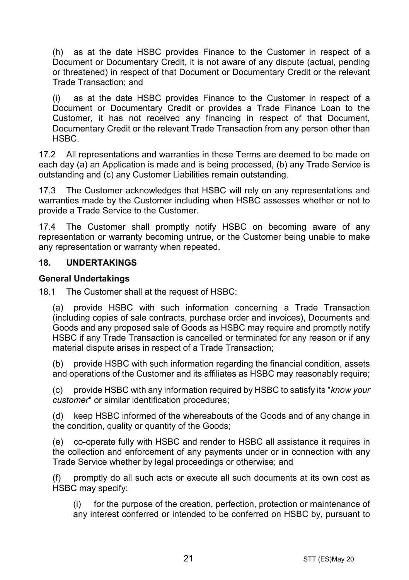(h) as at the date HSBC provides Finance to the Customer in respect of a Document or Documentary Credit, it is not aware of any dispute (actual, pending or threatened) in respect of that Document or Documentary Credit or the relevant Trade Transaction; and

(i) as at the date HSBC provides Finance to the Customer in respect of a Document or Documentary Credit or provides a Trade Finance Loan to the Customer, it has not received any financing in respect of that Document, Documentary Credit or the relevant Trade Transaction from any person other than HSBC.

17.2 All representations and warranties in these Terms are deemed to be made on each day (a) an Application is made and is being processed, (b) any Trade Service is outstanding and (c) any Customer Liabilities remain outstanding.

17.3 The Customer acknowledges that HSBC will rely on any representations and warranties made by the Customer including when HSBC assesses whether or not to provide a Trade Service to the Customer.

17.4 The Customer shall promptly notify HSBC on becoming aware of any representation or warranty becoming untrue, or the Customer being unable to make any representation or warranty when repeated.

#### **18. UNDERTAKINGS**

#### **General Undertakings**

18.1 The Customer shall at the request of HSBC:

(a) provide HSBC with such information concerning a Trade Transaction (including copies of sale contracts, purchase order and invoices), Documents and Goods and any proposed sale of Goods as HSBC may require and promptly notify HSBC if any Trade Transaction is cancelled or terminated for any reason or if any material dispute arises in respect of a Trade Transaction;

(b) provide HSBC with such information regarding the financial condition, assets and operations of the Customer and its affiliates as HSBC may reasonably require;

(c) provide HSBC with any information required by HSBC to satisfy its "*know your customer*" or similar identification procedures;

(d) keep HSBC informed of the whereabouts of the Goods and of any change in the condition, quality or quantity of the Goods;

(e) co-operate fully with HSBC and render to HSBC all assistance it requires in the collection and enforcement of any payments under or in connection with any Trade Service whether by legal proceedings or otherwise; and

(f) promptly do all such acts or execute all such documents at its own cost as HSBC may specify:

(i) for the purpose of the creation, perfection, protection or maintenance of any interest conferred or intended to be conferred on HSBC by, pursuant to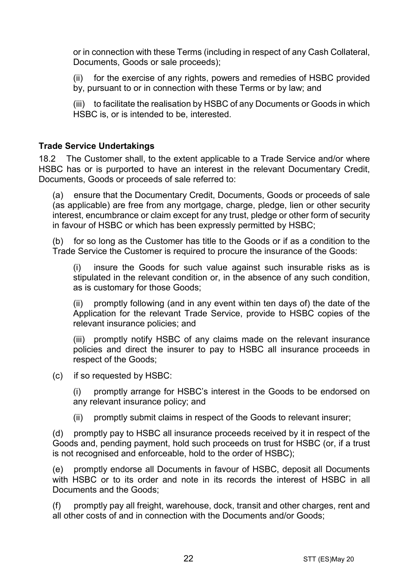or in connection with these Terms (including in respect of any Cash Collateral, Documents, Goods or sale proceeds);

(ii) for the exercise of any rights, powers and remedies of HSBC provided by, pursuant to or in connection with these Terms or by law; and

(iii) to facilitate the realisation by HSBC of any Documents or Goods in which HSBC is, or is intended to be, interested.

#### **Trade Service Undertakings**

18.2 The Customer shall, to the extent applicable to a Trade Service and/or where HSBC has or is purported to have an interest in the relevant Documentary Credit, Documents, Goods or proceeds of sale referred to:

(a) ensure that the Documentary Credit, Documents, Goods or proceeds of sale (as applicable) are free from any mortgage, charge, pledge, lien or other security interest, encumbrance or claim except for any trust, pledge or other form of security in favour of HSBC or which has been expressly permitted by HSBC;

(b) for so long as the Customer has title to the Goods or if as a condition to the Trade Service the Customer is required to procure the insurance of the Goods:

(i) insure the Goods for such value against such insurable risks as is stipulated in the relevant condition or, in the absence of any such condition, as is customary for those Goods;

(ii) promptly following (and in any event within ten days of) the date of the Application for the relevant Trade Service, provide to HSBC copies of the relevant insurance policies; and

(iii) promptly notify HSBC of any claims made on the relevant insurance policies and direct the insurer to pay to HSBC all insurance proceeds in respect of the Goods;

(c) if so requested by HSBC:

(i) promptly arrange for HSBC's interest in the Goods to be endorsed on any relevant insurance policy; and

(ii) promptly submit claims in respect of the Goods to relevant insurer;

(d) promptly pay to HSBC all insurance proceeds received by it in respect of the Goods and, pending payment, hold such proceeds on trust for HSBC (or, if a trust is not recognised and enforceable, hold to the order of HSBC);

(e) promptly endorse all Documents in favour of HSBC, deposit all Documents with HSBC or to its order and note in its records the interest of HSBC in all Documents and the Goods;

(f) promptly pay all freight, warehouse, dock, transit and other charges, rent and all other costs of and in connection with the Documents and/or Goods;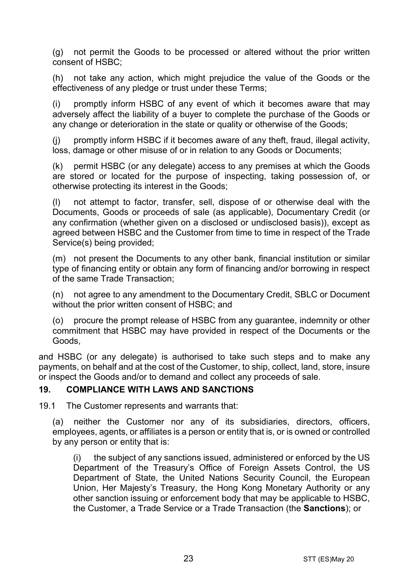(g) not permit the Goods to be processed or altered without the prior written consent of HSBC;

(h) not take any action, which might prejudice the value of the Goods or the effectiveness of any pledge or trust under these Terms;

(i) promptly inform HSBC of any event of which it becomes aware that may adversely affect the liability of a buyer to complete the purchase of the Goods or any change or deterioration in the state or quality or otherwise of the Goods;

(j) promptly inform HSBC if it becomes aware of any theft, fraud, illegal activity, loss, damage or other misuse of or in relation to any Goods or Documents;

(k) permit HSBC (or any delegate) access to any premises at which the Goods are stored or located for the purpose of inspecting, taking possession of, or otherwise protecting its interest in the Goods;

(l) not attempt to factor, transfer, sell, dispose of or otherwise deal with the Documents, Goods or proceeds of sale (as applicable), Documentary Credit (or any confirmation (whether given on a disclosed or undisclosed basis)), except as agreed between HSBC and the Customer from time to time in respect of the Trade Service(s) being provided;

(m) not present the Documents to any other bank, financial institution or similar type of financing entity or obtain any form of financing and/or borrowing in respect of the same Trade Transaction;

(n) not agree to any amendment to the Documentary Credit, SBLC or Document without the prior written consent of HSBC; and

(o) procure the prompt release of HSBC from any guarantee, indemnity or other commitment that HSBC may have provided in respect of the Documents or the Goods,

and HSBC (or any delegate) is authorised to take such steps and to make any payments, on behalf and at the cost of the Customer, to ship, collect, land, store, insure or inspect the Goods and/or to demand and collect any proceeds of sale.

#### <span id="page-22-0"></span>**19. COMPLIANCE WITH LAWS AND SANCTIONS**

19.1 The Customer represents and warrants that:

(a) neither the Customer nor any of its subsidiaries, directors, officers, employees, agents, or affiliates is a person or entity that is, or is owned or controlled by any person or entity that is:

(i) the subject of any sanctions issued, administered or enforced by the US Department of the Treasury's Office of Foreign Assets Control, the US Department of State, the United Nations Security Council, the European Union, Her Majesty's Treasury, the Hong Kong Monetary Authority or any other sanction issuing or enforcement body that may be applicable to HSBC, the Customer, a Trade Service or a Trade Transaction (the **Sanctions**); or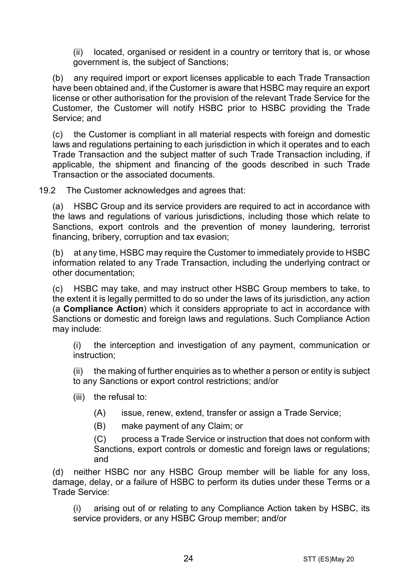(ii) located, organised or resident in a country or territory that is, or whose government is, the subject of Sanctions;

(b) any required import or export licenses applicable to each Trade Transaction have been obtained and, if the Customer is aware that HSBC may require an export license or other authorisation for the provision of the relevant Trade Service for the Customer, the Customer will notify HSBC prior to HSBC providing the Trade Service; and

(c) the Customer is compliant in all material respects with foreign and domestic laws and regulations pertaining to each jurisdiction in which it operates and to each Trade Transaction and the subject matter of such Trade Transaction including, if applicable, the shipment and financing of the goods described in such Trade Transaction or the associated documents.

19.2 The Customer acknowledges and agrees that:

(a) HSBC Group and its service providers are required to act in accordance with the laws and regulations of various jurisdictions, including those which relate to Sanctions, export controls and the prevention of money laundering, terrorist financing, bribery, corruption and tax evasion;

(b) at any time, HSBC may require the Customer to immediately provide to HSBC information related to any Trade Transaction, including the underlying contract or other documentation;

(c) HSBC may take, and may instruct other HSBC Group members to take, to the extent it is legally permitted to do so under the laws of its jurisdiction, any action (a **Compliance Action**) which it considers appropriate to act in accordance with Sanctions or domestic and foreign laws and regulations. Such Compliance Action may include:

(i) the interception and investigation of any payment, communication or instruction;

(ii) the making of further enquiries as to whether a person or entity is subject to any Sanctions or export control restrictions; and/or

- (iii) the refusal to:
	- (A) issue, renew, extend, transfer or assign a Trade Service;
	- (B) make payment of any Claim; or

(C) process a Trade Service or instruction that does not conform with Sanctions, export controls or domestic and foreign laws or regulations; and

(d) neither HSBC nor any HSBC Group member will be liable for any loss, damage, delay, or a failure of HSBC to perform its duties under these Terms or a Trade Service:

(i) arising out of or relating to any Compliance Action taken by HSBC, its service providers, or any HSBC Group member; and/or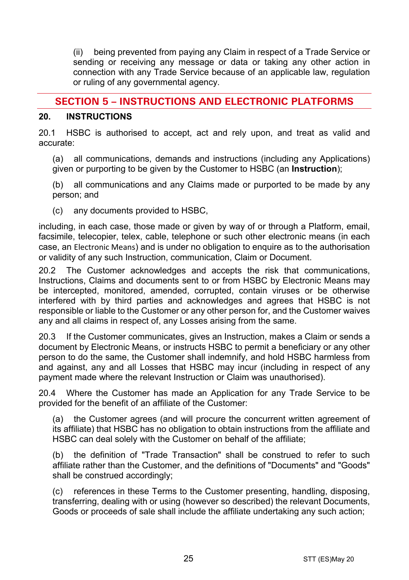(ii) being prevented from paying any Claim in respect of a Trade Service or sending or receiving any message or data or taking any other action in connection with any Trade Service because of an applicable law, regulation or ruling of any governmental agency.

# **SECTION 5 – INSTRUCTIONS AND ELECTRONIC PLATFORMS**

#### <span id="page-24-0"></span>**20. INSTRUCTIONS**

20.1 HSBC is authorised to accept, act and rely upon, and treat as valid and accurate:

(a) all communications, demands and instructions (including any Applications) given or purporting to be given by the Customer to HSBC (an **Instruction**);

(b) all communications and any Claims made or purported to be made by any person; and

(c) any documents provided to HSBC,

including, in each case, those made or given by way of or through a Platform, email, facsimile, telecopier, telex, cable, telephone or such other electronic means (in each case, an Electronic Means) and is under no obligation to enquire as to the authorisation or validity of any such Instruction, communication, Claim or Document.

20.2 The Customer acknowledges and accepts the risk that communications, Instructions, Claims and documents sent to or from HSBC by Electronic Means may be intercepted, monitored, amended, corrupted, contain viruses or be otherwise interfered with by third parties and acknowledges and agrees that HSBC is not responsible or liable to the Customer or any other person for, and the Customer waives any and all claims in respect of, any Losses arising from the same.

20.3 If the Customer communicates, gives an Instruction, makes a Claim or sends a document by Electronic Means, or instructs HSBC to permit a beneficiary or any other person to do the same, the Customer shall indemnify, and hold HSBC harmless from and against, any and all Losses that HSBC may incur (including in respect of any payment made where the relevant Instruction or Claim was unauthorised).

20.4 Where the Customer has made an Application for any Trade Service to be provided for the benefit of an affiliate of the Customer:

(a) the Customer agrees (and will procure the concurrent written agreement of its affiliate) that HSBC has no obligation to obtain instructions from the affiliate and HSBC can deal solely with the Customer on behalf of the affiliate;

(b) the definition of "Trade Transaction" shall be construed to refer to such affiliate rather than the Customer, and the definitions of "Documents" and "Goods" shall be construed accordingly;

(c) references in these Terms to the Customer presenting, handling, disposing, transferring, dealing with or using (however so described) the relevant Documents, Goods or proceeds of sale shall include the affiliate undertaking any such action;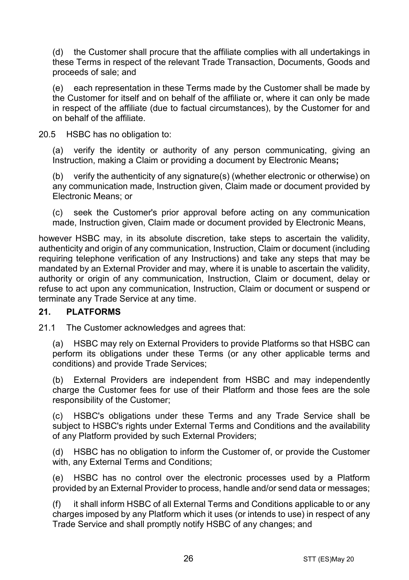(d) the Customer shall procure that the affiliate complies with all undertakings in these Terms in respect of the relevant Trade Transaction, Documents, Goods and proceeds of sale; and

(e) each representation in these Terms made by the Customer shall be made by the Customer for itself and on behalf of the affiliate or, where it can only be made in respect of the affiliate (due to factual circumstances), by the Customer for and on behalf of the affiliate.

20.5 HSBC has no obligation to:

(a) verify the identity or authority of any person communicating, giving an Instruction, making a Claim or providing a document by Electronic Means**;**

(b) verify the authenticity of any signature(s) (whether electronic or otherwise) on any communication made, Instruction given, Claim made or document provided by Electronic Means; or

(c) seek the Customer's prior approval before acting on any communication made, Instruction given, Claim made or document provided by Electronic Means,

however HSBC may, in its absolute discretion, take steps to ascertain the validity, authenticity and origin of any communication, Instruction, Claim or document (including requiring telephone verification of any Instructions) and take any steps that may be mandated by an External Provider and may, where it is unable to ascertain the validity, authority or origin of any communication, Instruction, Claim or document, delay or refuse to act upon any communication, Instruction, Claim or document or suspend or terminate any Trade Service at any time.

## **21. PLATFORMS**

21.1 The Customer acknowledges and agrees that:

(a) HSBC may rely on External Providers to provide Platforms so that HSBC can perform its obligations under these Terms (or any other applicable terms and conditions) and provide Trade Services;

(b) External Providers are independent from HSBC and may independently charge the Customer fees for use of their Platform and those fees are the sole responsibility of the Customer;

(c) HSBC's obligations under these Terms and any Trade Service shall be subject to HSBC's rights under External Terms and Conditions and the availability of any Platform provided by such External Providers;

(d) HSBC has no obligation to inform the Customer of, or provide the Customer with, any External Terms and Conditions;

(e) HSBC has no control over the electronic processes used by a Platform provided by an External Provider to process, handle and/or send data or messages;

(f) it shall inform HSBC of all External Terms and Conditions applicable to or any charges imposed by any Platform which it uses (or intends to use) in respect of any Trade Service and shall promptly notify HSBC of any changes; and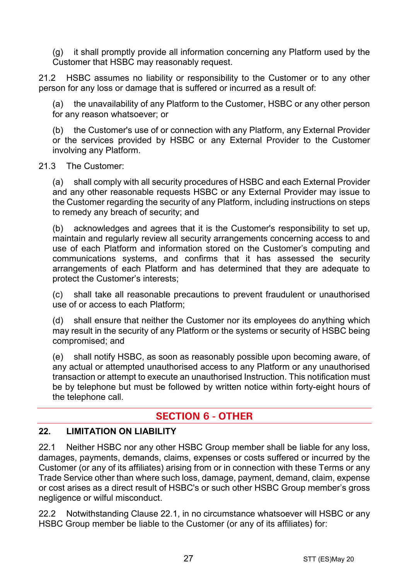(g) it shall promptly provide all information concerning any Platform used by the Customer that HSBC may reasonably request.

21.2 HSBC assumes no liability or responsibility to the Customer or to any other person for any loss or damage that is suffered or incurred as a result of:

(a) the unavailability of any Platform to the Customer, HSBC or any other person for any reason whatsoever; or

(b) the Customer's use of or connection with any Platform, any External Provider or the services provided by HSBC or any External Provider to the Customer involving any Platform.

#### 21.3 The Customer:

(a) shall comply with all security procedures of HSBC and each External Provider and any other reasonable requests HSBC or any External Provider may issue to the Customer regarding the security of any Platform, including instructions on steps to remedy any breach of security; and

(b) acknowledges and agrees that it is the Customer's responsibility to set up, maintain and regularly review all security arrangements concerning access to and use of each Platform and information stored on the Customer's computing and communications systems, and confirms that it has assessed the security arrangements of each Platform and has determined that they are adequate to protect the Customer's interests;

(c) shall take all reasonable precautions to prevent fraudulent or unauthorised use of or access to each Platform;

(d) shall ensure that neither the Customer nor its employees do anything which may result in the security of any Platform or the systems or security of HSBC being compromised; and

(e) shall notify HSBC, as soon as reasonably possible upon becoming aware, of any actual or attempted unauthorised access to any Platform or any unauthorised transaction or attempt to execute an unauthorised Instruction. This notification must be by telephone but must be followed by written notice within forty-eight hours of the telephone call.

# **SECTION 6 - OTHER**

## **22. LIMITATION ON LIABILITY**

<span id="page-26-0"></span>22.1 Neither HSBC nor any other HSBC Group member shall be liable for any loss, damages, payments, demands, claims, expenses or costs suffered or incurred by the Customer (or any of its affiliates) arising from or in connection with these Terms or any Trade Service other than where such loss, damage, payment, demand, claim, expense or cost arises as a direct result of HSBC's or such other HSBC Group member's gross negligence or wilful misconduct.

<span id="page-26-1"></span>22.2 Notwithstanding Clause [22.1,](#page-26-0) in no circumstance whatsoever will HSBC or any HSBC Group member be liable to the Customer (or any of its affiliates) for: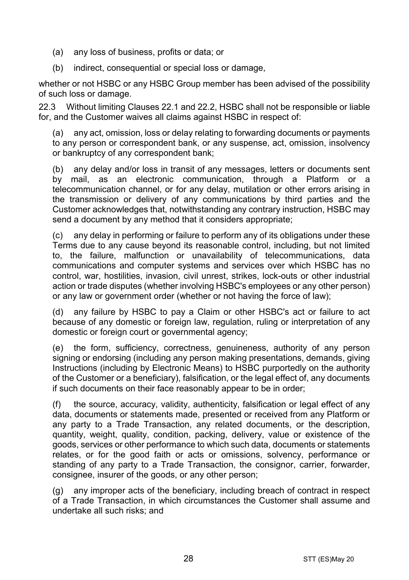- (a) any loss of business, profits or data; or
- (b) indirect, consequential or special loss or damage,

whether or not HSBC or any HSBC Group member has been advised of the possibility of such loss or damage.

22.3 Without limiting Clauses [22.1](#page-26-0) and [22.2,](#page-26-1) HSBC shall not be responsible or liable for, and the Customer waives all claims against HSBC in respect of:

(a) any act, omission, loss or delay relating to forwarding documents or payments to any person or correspondent bank, or any suspense, act, omission, insolvency or bankruptcy of any correspondent bank;

(b) any delay and/or loss in transit of any messages, letters or documents sent by mail, as an electronic communication, through a Platform or a telecommunication channel, or for any delay, mutilation or other errors arising in the transmission or delivery of any communications by third parties and the Customer acknowledges that, notwithstanding any contrary instruction, HSBC may send a document by any method that it considers appropriate;

(c) any delay in performing or failure to perform any of its obligations under these Terms due to any cause beyond its reasonable control, including, but not limited to, the failure, malfunction or unavailability of telecommunications, data communications and computer systems and services over which HSBC has no control, war, hostilities, invasion, civil unrest, strikes, lock-outs or other industrial action or trade disputes (whether involving HSBC's employees or any other person) or any law or government order (whether or not having the force of law);

(d) any failure by HSBC to pay a Claim or other HSBC's act or failure to act because of any domestic or foreign law, regulation, ruling or interpretation of any domestic or foreign court or governmental agency;

(e) the form, sufficiency, correctness, genuineness, authority of any person signing or endorsing (including any person making presentations, demands, giving Instructions (including by Electronic Means) to HSBC purportedly on the authority of the Customer or a beneficiary), falsification, or the legal effect of, any documents if such documents on their face reasonably appear to be in order;

(f) the source, accuracy, validity, authenticity, falsification or legal effect of any data, documents or statements made, presented or received from any Platform or any party to a Trade Transaction, any related documents, or the description, quantity, weight, quality, condition, packing, delivery, value or existence of the goods, services or other performance to which such data, documents or statements relates, or for the good faith or acts or omissions, solvency, performance or standing of any party to a Trade Transaction, the consignor, carrier, forwarder, consignee, insurer of the goods, or any other person;

(g) any improper acts of the beneficiary, including breach of contract in respect of a Trade Transaction, in which circumstances the Customer shall assume and undertake all such risks; and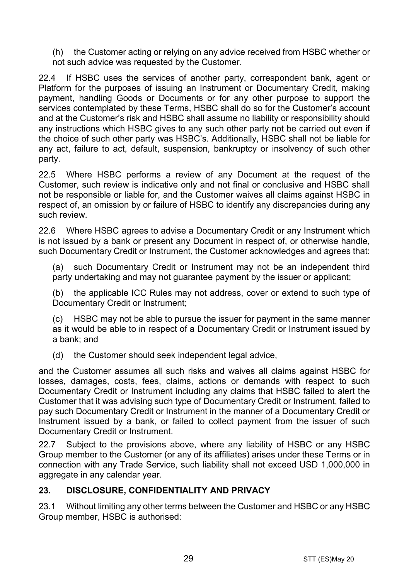(h) the Customer acting or relying on any advice received from HSBC whether or not such advice was requested by the Customer.

22.4 If HSBC uses the services of another party, correspondent bank, agent or Platform for the purposes of issuing an Instrument or Documentary Credit, making payment, handling Goods or Documents or for any other purpose to support the services contemplated by these Terms, HSBC shall do so for the Customer's account and at the Customer's risk and HSBC shall assume no liability or responsibility should any instructions which HSBC gives to any such other party not be carried out even if the choice of such other party was HSBC's. Additionally, HSBC shall not be liable for any act, failure to act, default, suspension, bankruptcy or insolvency of such other party.

22.5 Where HSBC performs a review of any Document at the request of the Customer, such review is indicative only and not final or conclusive and HSBC shall not be responsible or liable for, and the Customer waives all claims against HSBC in respect of, an omission by or failure of HSBC to identify any discrepancies during any such review.

22.6 Where HSBC agrees to advise a Documentary Credit or any Instrument which is not issued by a bank or present any Document in respect of, or otherwise handle, such Documentary Credit or Instrument, the Customer acknowledges and agrees that:

(a) such Documentary Credit or Instrument may not be an independent third party undertaking and may not quarantee payment by the issuer or applicant;

(b) the applicable ICC Rules may not address, cover or extend to such type of Documentary Credit or Instrument;

(c) HSBC may not be able to pursue the issuer for payment in the same manner as it would be able to in respect of a Documentary Credit or Instrument issued by a bank; and

(d) the Customer should seek independent legal advice,

and the Customer assumes all such risks and waives all claims against HSBC for losses, damages, costs, fees, claims, actions or demands with respect to such Documentary Credit or Instrument including any claims that HSBC failed to alert the Customer that it was advising such type of Documentary Credit or Instrument, failed to pay such Documentary Credit or Instrument in the manner of a Documentary Credit or Instrument issued by a bank, or failed to collect payment from the issuer of such Documentary Credit or Instrument.

22.7 Subject to the provisions above, where any liability of HSBC or any HSBC Group member to the Customer (or any of its affiliates) arises under these Terms or in connection with any Trade Service, such liability shall not exceed USD 1,000,000 in aggregate in any calendar year.

## <span id="page-28-0"></span>**23. DISCLOSURE, CONFIDENTIALITY AND PRIVACY**

23.1 Without limiting any other terms between the Customer and HSBC or any HSBC Group member, HSBC is authorised: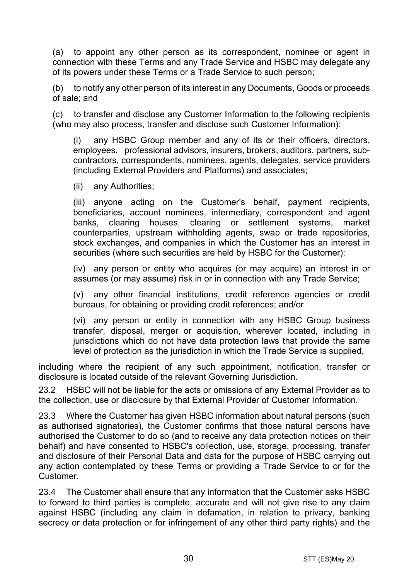<span id="page-29-0"></span>(a) to appoint any other person as its correspondent, nominee or agent in connection with these Terms and any Trade Service and HSBC may delegate any of its powers under these Terms or a Trade Service to such person;

(b) to notify any other person of its interest in any Documents, Goods or proceeds of sale; and

(c) to transfer and disclose any Customer Information to the following recipients (who may also process, transfer and disclose such Customer Information):

(i) any HSBC Group member and any of its or their officers, directors, employees, professional advisors, insurers, brokers, auditors, partners, subcontractors, correspondents, nominees, agents, delegates, service providers (including External Providers and Platforms) and associates;

(ii) any Authorities;

(iii) anyone acting on the Customer's behalf, payment recipients, beneficiaries, account nominees, intermediary, correspondent and agent banks, clearing houses, clearing or settlement systems, market counterparties, upstream withholding agents, swap or trade repositories, stock exchanges, and companies in which the Customer has an interest in securities (where such securities are held by HSBC for the Customer);

(iv) any person or entity who acquires (or may acquire) an interest in or assumes (or may assume) risk in or in connection with any Trade Service;

(v) any other financial institutions, credit reference agencies or credit bureaus, for obtaining or providing credit references; and/or

(vi) any person or entity in connection with any HSBC Group business transfer, disposal, merger or acquisition, wherever located, including in jurisdictions which do not have data protection laws that provide the same level of protection as the jurisdiction in which the Trade Service is supplied,

including where the recipient of any such appointment, notification, transfer or disclosure is located outside of the relevant Governing Jurisdiction.

23.2 HSBC will not be liable for the acts or omissions of any External Provider as to the collection, use or disclosure by that External Provider of Customer Information.

23.3 Where the Customer has given HSBC information about natural persons (such as authorised signatories), the Customer confirms that those natural persons have authorised the Customer to do so (and to receive any data protection notices on their behalf) and have consented to HSBC's collection, use, storage, processing, transfer and disclosure of their Personal Data and data for the purpose of HSBC carrying out any action contemplated by these Terms or providing a Trade Service to or for the Customer.

23.4 The Customer shall ensure that any information that the Customer asks HSBC to forward to third parties is complete, accurate and will not give rise to any claim against HSBC (including any claim in defamation, in relation to privacy, banking secrecy or data protection or for infringement of any other third party rights) and the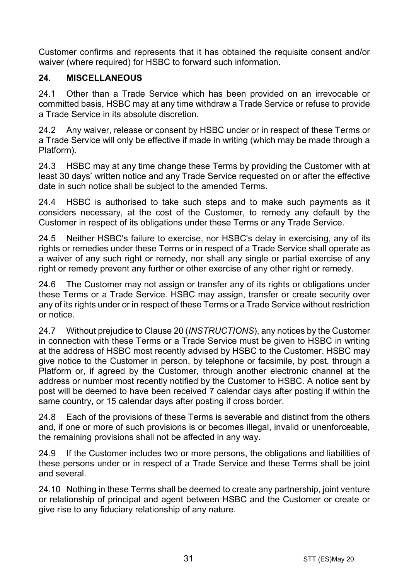Customer confirms and represents that it has obtained the requisite consent and/or waiver (where required) for HSBC to forward such information.

## **24. MISCELLANEOUS**

24.1 Other than a Trade Service which has been provided on an irrevocable or committed basis, HSBC may at any time withdraw a Trade Service or refuse to provide a Trade Service in its absolute discretion.

24.2 Any waiver, release or consent by HSBC under or in respect of these Terms or a Trade Service will only be effective if made in writing (which may be made through a Platform).

24.3 HSBC may at any time change these Terms by providing the Customer with at least 30 days' written notice and any Trade Service requested on or after the effective date in such notice shall be subject to the amended Terms.

24.4 HSBC is authorised to take such steps and to make such payments as it considers necessary, at the cost of the Customer, to remedy any default by the Customer in respect of its obligations under these Terms or any Trade Service.

24.5 Neither HSBC's failure to exercise, nor HSBC's delay in exercising, any of its rights or remedies under these Terms or in respect of a Trade Service shall operate as a waiver of any such right or remedy, nor shall any single or partial exercise of any right or remedy prevent any further or other exercise of any other right or remedy.

24.6 The Customer may not assign or transfer any of its rights or obligations under these Terms or a Trade Service. HSBC may assign, transfer or create security over any of its rights under or in respect of these Terms or a Trade Service without restriction or notice.

24.7 Without prejudice to Claus[e 20](#page-24-0) (*[INSTRUCTIONS](#page-24-0)*), any notices by the Customer in connection with these Terms or a Trade Service must be given to HSBC in writing at the address of HSBC most recently advised by HSBC to the Customer. HSBC may give notice to the Customer in person, by telephone or facsimile, by post, through a Platform or, if agreed by the Customer, through another electronic channel at the address or number most recently notified by the Customer to HSBC. A notice sent by post will be deemed to have been received 7 calendar days after posting if within the same country, or 15 calendar days after posting if cross border.

24.8 Each of the provisions of these Terms is severable and distinct from the others and, if one or more of such provisions is or becomes illegal, invalid or unenforceable, the remaining provisions shall not be affected in any way.

24.9 If the Customer includes two or more persons, the obligations and liabilities of these persons under or in respect of a Trade Service and these Terms shall be joint and several.

24.10 Nothing in these Terms shall be deemed to create any partnership, joint venture or relationship of principal and agent between HSBC and the Customer or create or give rise to any fiduciary relationship of any nature.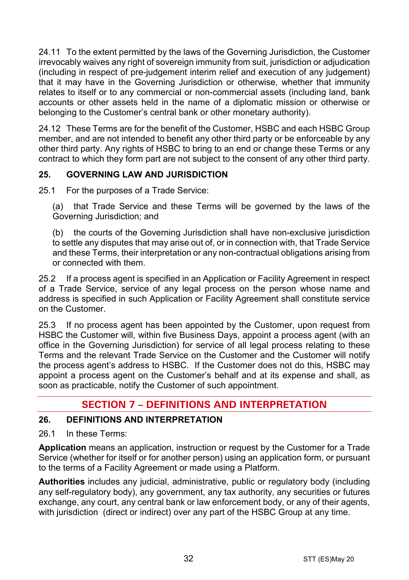24.11 To the extent permitted by the laws of the Governing Jurisdiction, the Customer irrevocably waives any right of sovereign immunity from suit, jurisdiction or adjudication (including in respect of pre-judgement interim relief and execution of any judgement) that it may have in the Governing Jurisdiction or otherwise, whether that immunity relates to itself or to any commercial or non-commercial assets (including land, bank accounts or other assets held in the name of a diplomatic mission or otherwise or belonging to the Customer's central bank or other monetary authority).

24.12 These Terms are for the benefit of the Customer, HSBC and each HSBC Group member, and are not intended to benefit any other third party or be enforceable by any other third party. Any rights of HSBC to bring to an end or change these Terms or any contract to which they form part are not subject to the consent of any other third party.

# **25. GOVERNING LAW AND JURISDICTION**

25.1 For the purposes of a Trade Service:

(a) that Trade Service and these Terms will be governed by the laws of the Governing Jurisdiction; and

(b) the courts of the Governing Jurisdiction shall have non-exclusive jurisdiction to settle any disputes that may arise out of, or in connection with, that Trade Service and these Terms, their interpretation or any non-contractual obligations arising from or connected with them.

25.2 If a process agent is specified in an Application or Facility Agreement in respect of a Trade Service, service of any legal process on the person whose name and address is specified in such Application or Facility Agreement shall constitute service on the Customer.

25.3 If no process agent has been appointed by the Customer, upon request from HSBC the Customer will, within five Business Days, appoint a process agent (with an office in the Governing Jurisdiction) for service of all legal process relating to these Terms and the relevant Trade Service on the Customer and the Customer will notify the process agent's address to HSBC. If the Customer does not do this, HSBC may appoint a process agent on the Customer's behalf and at its expense and shall, as soon as practicable, notify the Customer of such appointment.

# **SECTION 7 – DEFINITIONS AND INTERPRETATION**

## **26. DEFINITIONS AND INTERPRETATION**

26.1 In these Terms:

**Application** means an application, instruction or request by the Customer for a Trade Service (whether for itself or for another person) using an application form, or pursuant to the terms of a Facility Agreement or made using a Platform.

**Authorities** includes any judicial, administrative, public or regulatory body (including any self-regulatory body), any government, any tax authority, any securities or futures exchange, any court, any central bank or law enforcement body, or any of their agents, with jurisdiction (direct or indirect) over any part of the HSBC Group at any time.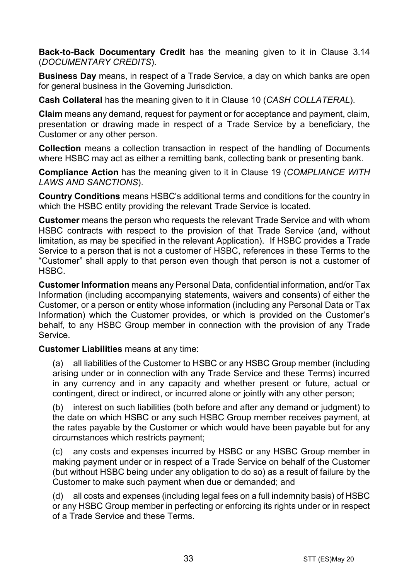**Back-to-Back Documentary Credit** has the meaning given to it in Clause [3.14](#page-5-0) (*[DOCUMENTARY CREDITS](#page-3-0)*).

**Business Day** means, in respect of a Trade Service, a day on which banks are open for general business in the Governing Jurisdiction.

**Cash Collateral** has the meaning given to it in Clause [10](#page-14-1) (*[CASH COLLATERAL](#page-14-1)*).

**Claim** means any demand, request for payment or for acceptance and payment, claim, presentation or drawing made in respect of a Trade Service by a beneficiary, the Customer or any other person.

**Collection** means a collection transaction in respect of the handling of Documents where HSBC may act as either a remitting bank, collecting bank or presenting bank.

**Compliance Action** has the meaning given to it in Clause [19](#page-22-0) (*[COMPLIANCE WITH](#page-22-0)  [LAWS AND SANCTIONS](#page-22-0)*).

**Country Conditions** means HSBC's additional terms and conditions for the country in which the HSBC entity providing the relevant Trade Service is located.

**Customer** means the person who requests the relevant Trade Service and with whom HSBC contracts with respect to the provision of that Trade Service (and, without limitation, as may be specified in the relevant Application). If HSBC provides a Trade Service to a person that is not a customer of HSBC, references in these Terms to the "Customer" shall apply to that person even though that person is not a customer of HSBC.

**Customer Information** means any Personal Data, confidential information, and/or Tax Information (including accompanying statements, waivers and consents) of either the Customer, or a person or entity whose information (including any Personal Data or Tax Information) which the Customer provides, or which is provided on the Customer's behalf, to any HSBC Group member in connection with the provision of any Trade Service.

**Customer Liabilities** means at any time:

(a) all liabilities of the Customer to HSBC or any HSBC Group member (including arising under or in connection with any Trade Service and these Terms) incurred in any currency and in any capacity and whether present or future, actual or contingent, direct or indirect, or incurred alone or jointly with any other person;

(b) interest on such liabilities (both before and after any demand or judgment) to the date on which HSBC or any such HSBC Group member receives payment, at the rates payable by the Customer or which would have been payable but for any circumstances which restricts payment;

(c) any costs and expenses incurred by HSBC or any HSBC Group member in making payment under or in respect of a Trade Service on behalf of the Customer (but without HSBC being under any obligation to do so) as a result of failure by the Customer to make such payment when due or demanded; and

(d) all costs and expenses (including legal fees on a full indemnity basis) of HSBC or any HSBC Group member in perfecting or enforcing its rights under or in respect of a Trade Service and these Terms.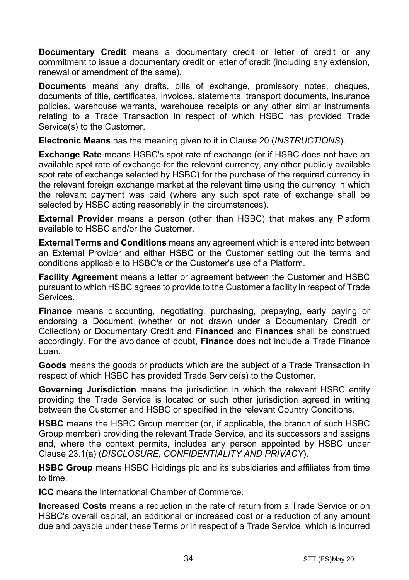**Documentary Credit** means a documentary credit or letter of credit or any commitment to issue a documentary credit or letter of credit (including any extension. renewal or amendment of the same).

**Documents** means any drafts, bills of exchange, promissory notes, cheques, documents of title, certificates, invoices, statements, transport documents, insurance policies, warehouse warrants, warehouse receipts or any other similar instruments relating to a Trade Transaction in respect of which HSBC has provided Trade Service(s) to the Customer.

**Electronic Means** has the meaning given to it in Clause [20](#page-24-0) (*[INSTRUCTIONS](#page-24-0)*).

**Exchange Rate** means HSBC's spot rate of exchange (or if HSBC does not have an available spot rate of exchange for the relevant currency, any other publicly available spot rate of exchange selected by HSBC) for the purchase of the required currency in the relevant foreign exchange market at the relevant time using the currency in which the relevant payment was paid (where any such spot rate of exchange shall be selected by HSBC acting reasonably in the circumstances).

**External Provider** means a person (other than HSBC) that makes any Platform available to HSBC and/or the Customer.

**External Terms and Conditions** means any agreement which is entered into between an External Provider and either HSBC or the Customer setting out the terms and conditions applicable to HSBC's or the Customer's use of a Platform.

**Facility Agreement** means a letter or agreement between the Customer and HSBC pursuant to which HSBC agrees to provide to the Customer a facility in respect of Trade Services.

**Finance** means discounting, negotiating, purchasing, prepaying, early paying or endorsing a Document (whether or not drawn under a Documentary Credit or Collection) or Documentary Credit and **Financed** and **Finances** shall be construed accordingly. For the avoidance of doubt, **Finance** does not include a Trade Finance Loan.

**Goods** means the goods or products which are the subject of a Trade Transaction in respect of which HSBC has provided Trade Service(s) to the Customer.

**Governing Jurisdiction** means the jurisdiction in which the relevant HSBC entity providing the Trade Service is located or such other jurisdiction agreed in writing between the Customer and HSBC or specified in the relevant Country Conditions.

**HSBC** means the HSBC Group member (or, if applicable, the branch of such HSBC Group member) providing the relevant Trade Service, and its successors and assigns and, where the context permits, includes any person appointed by HSBC under Clause [23.1\(a\)](#page-29-0) (*[DISCLOSURE, CONFIDENTIALITY AND PRIVACY](#page-28-0)*).

**HSBC Group** means HSBC Holdings plc and its subsidiaries and affiliates from time to time.

**ICC** means the International Chamber of Commerce.

**Increased Costs** means a reduction in the rate of return from a Trade Service or on HSBC's overall capital, an additional or increased cost or a reduction of any amount due and payable under these Terms or in respect of a Trade Service, which is incurred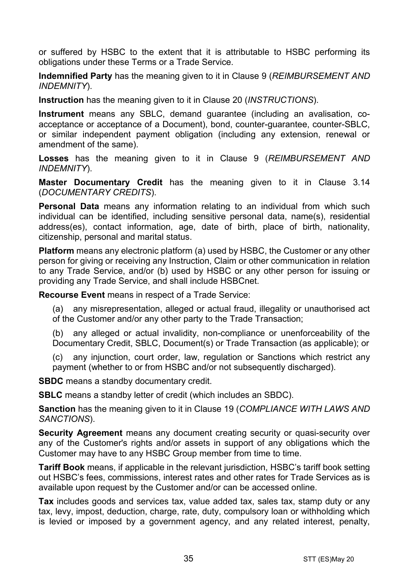or suffered by HSBC to the extent that it is attributable to HSBC performing its obligations under these Terms or a Trade Service.

**Indemnified Party** has the meaning given to it in Claus[e 9](#page-13-0) (*[REIMBURSEMENT AND](#page-13-0)  [INDEMNITY](#page-13-0)*).

**Instruction** has the meaning given to it in Clause [20](#page-24-0) (*[INSTRUCTIONS](#page-24-0)*).

**Instrument** means any SBLC, demand guarantee (including an avalisation, coacceptance or acceptance of a Document), bond, counter-guarantee, counter-SBLC, or similar independent payment obligation (including any extension, renewal or amendment of the same).

**Losses** has the meaning given to it in Clause [9](#page-13-0) (*[REIMBURSEMENT AND](#page-13-0)  [INDEMNITY](#page-13-0)*).

**Master Documentary Credit** has the meaning given to it in Clause [3.14](#page-5-0) (*[DOCUMENTARY CREDITS](#page-3-0)*).

**Personal Data** means any information relating to an individual from which such individual can be identified, including sensitive personal data, name(s), residential address(es), contact information, age, date of birth, place of birth, nationality, citizenship, personal and marital status.

**Platform** means any electronic platform (a) used by HSBC, the Customer or any other person for giving or receiving any Instruction, Claim or other communication in relation to any Trade Service, and/or (b) used by HSBC or any other person for issuing or providing any Trade Service, and shall include HSBCnet.

**Recourse Event** means in respect of a Trade Service:

(a) any misrepresentation, alleged or actual fraud, illegality or unauthorised act of the Customer and/or any other party to the Trade Transaction;

(b) any alleged or actual invalidity, non-compliance or unenforceability of the Documentary Credit, SBLC, Document(s) or Trade Transaction (as applicable); or

(c) any injunction, court order, law, regulation or Sanctions which restrict any payment (whether to or from HSBC and/or not subsequently discharged).

**SBDC** means a standby documentary credit.

**SBLC** means a standby letter of credit (which includes an SBDC).

**Sanction** has the meaning given to it in Clause [19](#page-22-0) (*[COMPLIANCE WITH LAWS AND](#page-22-0)  [SANCTIONS](#page-22-0)*).

**Security Agreement** means any document creating security or quasi-security over any of the Customer's rights and/or assets in support of any obligations which the Customer may have to any HSBC Group member from time to time.

**Tariff Book** means, if applicable in the relevant jurisdiction, HSBC's tariff book setting out HSBC's fees, commissions, interest rates and other rates for Trade Services as is available upon request by the Customer and/or can be accessed online.

**Tax** includes goods and services tax, value added tax, sales tax, stamp duty or any tax, levy, impost, deduction, charge, rate, duty, compulsory loan or withholding which is levied or imposed by a government agency, and any related interest, penalty,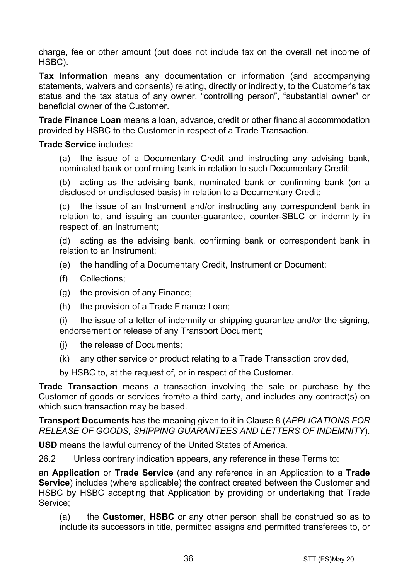charge, fee or other amount (but does not include tax on the overall net income of HSBC).

**Tax Information** means any documentation or information (and accompanying statements, waivers and consents) relating, directly or indirectly, to the Customer's tax status and the tax status of any owner, "controlling person", "substantial owner" or beneficial owner of the Customer.

**Trade Finance Loan** means a loan, advance, credit or other financial accommodation provided by HSBC to the Customer in respect of a Trade Transaction.

#### **Trade Service** includes:

(a) the issue of a Documentary Credit and instructing any advising bank, nominated bank or confirming bank in relation to such Documentary Credit;

(b) acting as the advising bank, nominated bank or confirming bank (on a disclosed or undisclosed basis) in relation to a Documentary Credit;

(c) the issue of an Instrument and/or instructing any correspondent bank in relation to, and issuing an counter-guarantee, counter-SBLC or indemnity in respect of, an Instrument;

(d) acting as the advising bank, confirming bank or correspondent bank in relation to an Instrument;

- (e) the handling of a Documentary Credit, Instrument or Document;
- (f) Collections;
- (g) the provision of any Finance;
- (h) the provision of a Trade Finance Loan;

(i) the issue of a letter of indemnity or shipping guarantee and/or the signing, endorsement or release of any Transport Document;

- (j) the release of Documents;
- (k) any other service or product relating to a Trade Transaction provided,

by HSBC to, at the request of, or in respect of the Customer.

**Trade Transaction** means a transaction involving the sale or purchase by the Customer of goods or services from/to a third party, and includes any contract(s) on which such transaction may be based.

**Transport Documents** has the meaning given to it in Clause [8](#page-12-0) (*[APPLICATIONS FOR](#page-12-0)  [RELEASE OF GOODS, SHIPPING GUARANTEES AND](#page-12-0) LETTERS OF INDEMNITY*).

**USD** means the lawful currency of the United States of America.

26.2 Unless contrary indication appears, any reference in these Terms to:

an **Application** or **Trade Service** (and any reference in an Application to a **Trade Service**) includes (where applicable) the contract created between the Customer and HSBC by HSBC accepting that Application by providing or undertaking that Trade Service;

(a) the **Customer**, **HSBC** or any other person shall be construed so as to include its successors in title, permitted assigns and permitted transferees to, or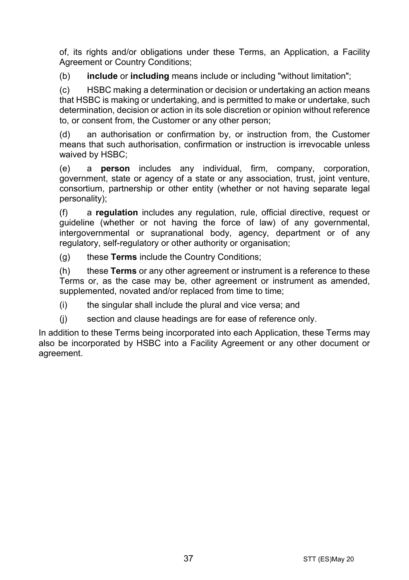of, its rights and/or obligations under these Terms, an Application, a Facility Agreement or Country Conditions;

(b) **include** or **including** means include or including "without limitation";

(c) HSBC making a determination or decision or undertaking an action means that HSBC is making or undertaking, and is permitted to make or undertake, such determination, decision or action in its sole discretion or opinion without reference to, or consent from, the Customer or any other person;

(d) an authorisation or confirmation by, or instruction from, the Customer means that such authorisation, confirmation or instruction is irrevocable unless waived by HSBC;

(e) a **person** includes any individual, firm, company, corporation, government, state or agency of a state or any association, trust, joint venture, consortium, partnership or other entity (whether or not having separate legal personality);

(f) a **regulation** includes any regulation, rule, official directive, request or guideline (whether or not having the force of law) of any governmental, intergovernmental or supranational body, agency, department or of any regulatory, self-regulatory or other authority or organisation;

(g) these **Terms** include the Country Conditions;

(h) these **Terms** or any other agreement or instrument is a reference to these Terms or, as the case may be, other agreement or instrument as amended, supplemented, novated and/or replaced from time to time;

(i) the singular shall include the plural and vice versa; and

(j) section and clause headings are for ease of reference only.

In addition to these Terms being incorporated into each Application, these Terms may also be incorporated by HSBC into a Facility Agreement or any other document or agreement.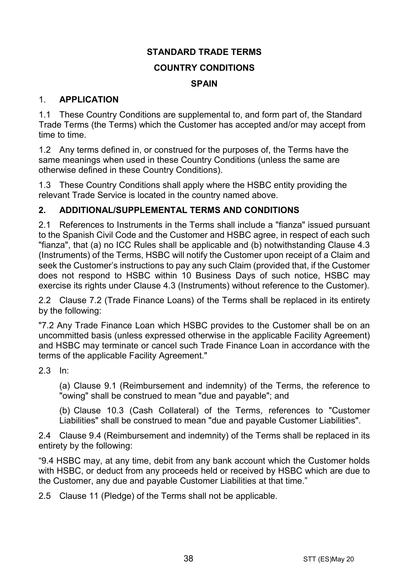#### **STANDARD TRADE TERMS**

#### **COUNTRY CONDITIONS**

#### **SPAIN**

#### 1. **APPLICATION**

1.1 These Country Conditions are supplemental to, and form part of, the Standard Trade Terms (the Terms) which the Customer has accepted and/or may accept from time to time.

1.2 Any terms defined in, or construed for the purposes of, the Terms have the same meanings when used in these Country Conditions (unless the same are otherwise defined in these Country Conditions).

1.3 These Country Conditions shall apply where the HSBC entity providing the relevant Trade Service is located in the country named above.

# **2. ADDITIONAL/SUPPLEMENTAL TERMS AND CONDITIONS**

2.1 References to Instruments in the Terms shall include a "fianza" issued pursuant to the Spanish Civil Code and the Customer and HSBC agree, in respect of each such "fianza", that (a) no ICC Rules shall be applicable and (b) notwithstanding Clause 4.3 (Instruments) of the Terms, HSBC will notify the Customer upon receipt of a Claim and seek the Customer's instructions to pay any such Claim (provided that, if the Customer does not respond to HSBC within 10 Business Days of such notice, HSBC may exercise its rights under Clause 4.3 (Instruments) without reference to the Customer).

2.2 Clause 7.2 (Trade Finance Loans) of the Terms shall be replaced in its entirety by the following:

"7.2 Any Trade Finance Loan which HSBC provides to the Customer shall be on an uncommitted basis (unless expressed otherwise in the applicable Facility Agreement) and HSBC may terminate or cancel such Trade Finance Loan in accordance with the terms of the applicable Facility Agreement."

2.3 In:

(a) Clause 9.1 (Reimbursement and indemnity) of the Terms, the reference to "owing" shall be construed to mean "due and payable"; and

(b) Clause 10.3 (Cash Collateral) of the Terms, references to "Customer Liabilities" shall be construed to mean "due and payable Customer Liabilities".

2.4 Clause 9.4 (Reimbursement and indemnity) of the Terms shall be replaced in its entirety by the following:

"9.4 HSBC may, at any time, debit from any bank account which the Customer holds with HSBC, or deduct from any proceeds held or received by HSBC which are due to the Customer, any due and payable Customer Liabilities at that time."

2.5 Clause 11 (Pledge) of the Terms shall not be applicable.